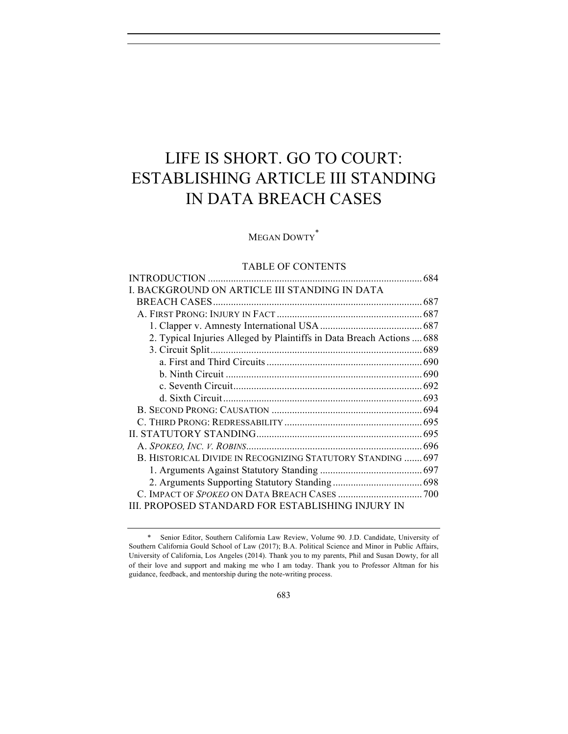# LIFE IS SHORT. GO TO COURT: ESTABLISHING ARTICLE III STANDING IN DATA BREACH CASES

# MEGAN DOWTY<sup>\*</sup>

# TABLE OF CONTENTS

| I. BACKGROUND ON ARTICLE III STANDING IN DATA                         |  |
|-----------------------------------------------------------------------|--|
|                                                                       |  |
|                                                                       |  |
|                                                                       |  |
| 2. Typical Injuries Alleged by Plaintiffs in Data Breach Actions  688 |  |
|                                                                       |  |
|                                                                       |  |
|                                                                       |  |
|                                                                       |  |
|                                                                       |  |
|                                                                       |  |
|                                                                       |  |
|                                                                       |  |
|                                                                       |  |
| B. HISTORICAL DIVIDE IN RECOGNIZING STATUTORY STANDING  697           |  |
|                                                                       |  |
|                                                                       |  |
|                                                                       |  |
| III. PROPOSED STANDARD FOR ESTABLISHING INJURY IN                     |  |

<sup>\*</sup> Senior Editor, Southern California Law Review, Volume 90. J.D. Candidate, University of Southern California Gould School of Law (2017); B.A. Political Science and Minor in Public Affairs, University of California, Los Angeles (2014). Thank you to my parents, Phil and Susan Dowty, for all of their love and support and making me who I am today. Thank you to Professor Altman for his guidance, feedback, and mentorship during the note-writing process.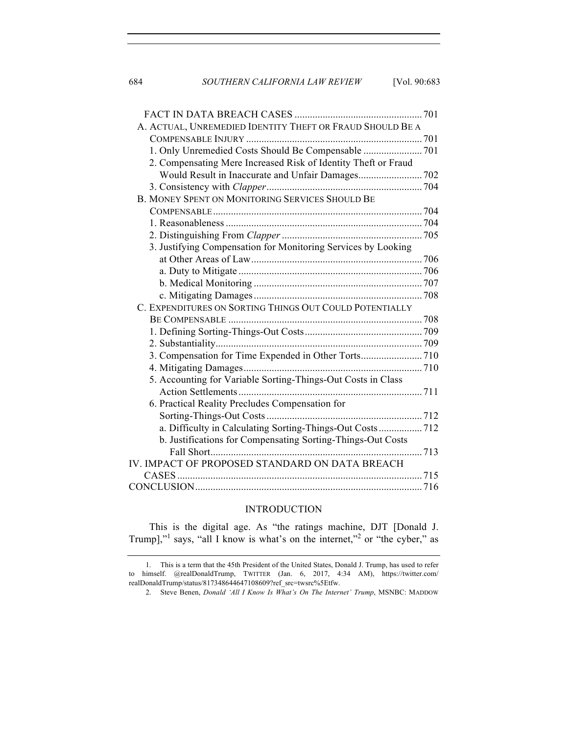684 *SOUTHERN CALIFORNIA LAW REVIEW* [Vol. 90:683

| A. ACTUAL, UNREMEDIED IDENTITY THEFT OR FRAUD SHOULD BE A      |  |
|----------------------------------------------------------------|--|
|                                                                |  |
| 1. Only Unremedied Costs Should Be Compensable  701            |  |
| 2. Compensating Mere Increased Risk of Identity Theft or Fraud |  |
|                                                                |  |
|                                                                |  |
| B. MONEY SPENT ON MONITORING SERVICES SHOULD BE                |  |
|                                                                |  |
|                                                                |  |
|                                                                |  |
| 3. Justifying Compensation for Monitoring Services by Looking  |  |
|                                                                |  |
|                                                                |  |
|                                                                |  |
|                                                                |  |
| C. EXPENDITURES ON SORTING THINGS OUT COULD POTENTIALLY        |  |
|                                                                |  |
|                                                                |  |
|                                                                |  |
| 3. Compensation for Time Expended in Other Torts710            |  |
|                                                                |  |
| 5. Accounting for Variable Sorting-Things-Out Costs in Class   |  |
|                                                                |  |
| 6. Practical Reality Precludes Compensation for                |  |
|                                                                |  |
|                                                                |  |
| b. Justifications for Compensating Sorting-Things-Out Costs    |  |
|                                                                |  |
| IV. IMPACT OF PROPOSED STANDARD ON DATA BREACH                 |  |
|                                                                |  |
|                                                                |  |

# INTRODUCTION

This is the digital age. As "the ratings machine, DJT [Donald J. Trump],"<sup>1</sup> says, "all I know is what's on the internet,"<sup>2</sup> or "the cyber," as

<sup>1.</sup> This is a term that the 45th President of the United States, Donald J. Trump, has used to refer to himself. @realDonaldTrump, TWITTER (Jan. 6, 2017, 4:34 AM), https://twitter.com/ realDonaldTrump/status/817348644647108609?ref\_src=twsrc%5Etfw.

<sup>2.</sup> Steve Benen, *Donald 'All I Know Is What's On The Internet' Trump*, MSNBC: MADDOW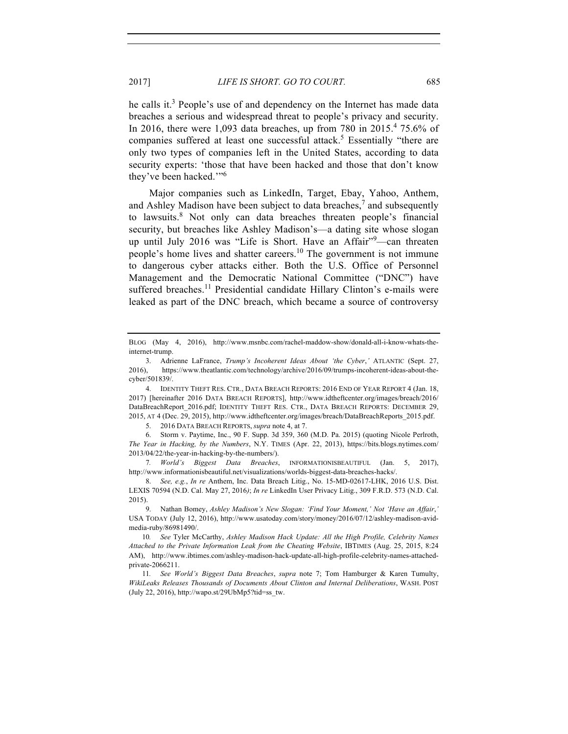he calls it.<sup>3</sup> People's use of and dependency on the Internet has made data breaches a serious and widespread threat to people's privacy and security. In 2016, there were 1,093 data breaches, up from 780 in 2015. <sup>4</sup> 75.6% of companies suffered at least one successful attack. <sup>5</sup> Essentially "there are only two types of companies left in the United States, according to data security experts: 'those that have been hacked and those that don't know they've been hacked.'"<sup>6</sup>

Major companies such as LinkedIn, Target, Ebay, Yahoo, Anthem, and Ashley Madison have been subject to data breaches, $<sup>7</sup>$  and subsequently</sup> to lawsuits.<sup>8</sup> Not only can data breaches threaten people's financial security, but breaches like Ashley Madison's—a dating site whose slogan up until July 2016 was "Life is Short. Have an Affair"<sup>9</sup>—can threaten people's home lives and shatter careers.<sup>10</sup> The government is not immune to dangerous cyber attacks either. Both the U.S. Office of Personnel Management and the Democratic National Committee ("DNC") have suffered breaches.<sup>11</sup> Presidential candidate Hillary Clinton's e-mails were leaked as part of the DNC breach, which became a source of controversy

5. 2016 DATA BREACH REPORTS, *supra* note 4, at 7.

6. Storm v. Paytime, Inc., 90 F. Supp. 3d 359, 360 (M.D. Pa. 2015) (quoting Nicole Perlroth, *The Year in Hacking, by the Numbers*, N.Y. TIMES (Apr. 22, 2013), https://bits.blogs.nytimes.com/ 2013/04/22/the-year-in-hacking-by-the-numbers/).

7*. World's Biggest Data Breaches*, INFORMATIONISBEAUTIFUL (Jan. 5, 2017), http://www.informationisbeautiful.net/visualizations/worlds-biggest-data-breaches-hacks/.

8. *See, e.g.*, *In re* Anthem, Inc. Data Breach Litig., No. 15-MD-02617-LHK, 2016 U.S. Dist. LEXIS 70594 (N.D. Cal. May 27, 2016*)*; *In re* LinkedIn User Privacy Litig., 309 F.R.D. 573 (N.D. Cal. 2015).

9. Nathan Bomey, *Ashley Madison's New Slogan: 'Find Your Moment,' Not 'Have an Affair*,*'* USA TODAY (July 12, 2016), http://www.usatoday.com/story/money/2016/07/12/ashley-madison-avidmedia-ruby/86981490/.

BLOG (May 4, 2016), http://www.msnbc.com/rachel-maddow-show/donald-all-i-know-whats-theinternet-trump.

<sup>3.</sup> Adrienne LaFrance, *Trump's Incoherent Ideas About 'the Cyber*,*'* ATLANTIC (Sept. 27, 2016), https://www.theatlantic.com/technology/archive/2016/09/trumps-incoherent-ideas-about-thecyber/501839/.

<sup>4.</sup> IDENTITY THEFT RES. CTR., DATA BREACH REPORTS: 2016 END OF YEAR REPORT 4 (Jan. 18, 2017) [hereinafter 2016 DATA BREACH REPORTS], http://www.idtheftcenter.org/images/breach/2016/ DataBreachReport\_2016.pdf; IDENTITY THEFT RES. CTR., DATA BREACH REPORTS: DECEMBER 29, 2015, AT 4 (Dec. 29, 2015), http://www.idtheftcenter.org/images/breach/DataBreachReports\_2015.pdf.

<sup>10</sup>*. See* Tyler McCarthy, *Ashley Madison Hack Update: All the High Profile, Celebrity Names Attached to the Private Information Leak from the Cheating Website*, IBTIMES (Aug. 25, 2015, 8:24 AM), http://www.ibtimes.com/ashley-madison-hack-update-all-high-profile-celebrity-names-attachedprivate-2066211.

<sup>11</sup>*. See World's Biggest Data Breaches*, *supra* note 7; Tom Hamburger & Karen Tumulty, *WikiLeaks Releases Thousands of Documents About Clinton and Internal Deliberations*, WASH. POST (July 22, 2016), http://wapo.st/29UbMp5?tid=ss\_tw.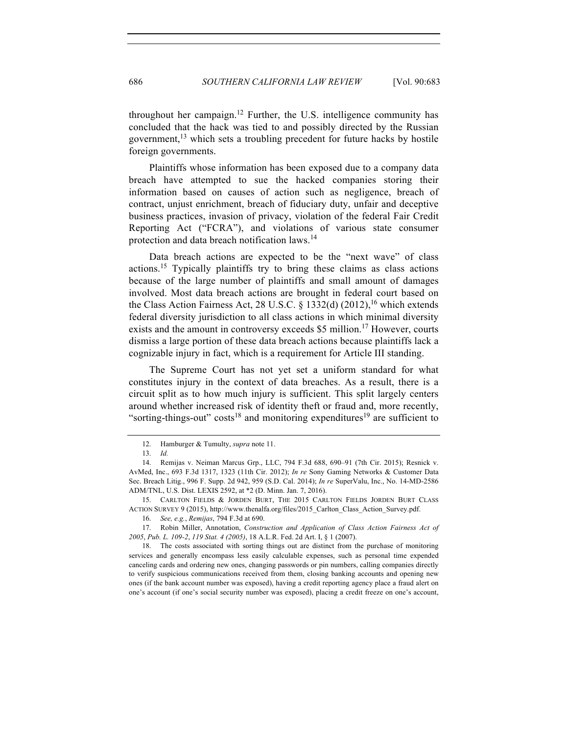throughout her campaign. <sup>12</sup> Further, the U.S. intelligence community has concluded that the hack was tied to and possibly directed by the Russian government,<sup>13</sup> which sets a troubling precedent for future hacks by hostile foreign governments.

Plaintiffs whose information has been exposed due to a company data breach have attempted to sue the hacked companies storing their information based on causes of action such as negligence, breach of contract, unjust enrichment, breach of fiduciary duty, unfair and deceptive business practices, invasion of privacy, violation of the federal Fair Credit Reporting Act ("FCRA"), and violations of various state consumer protection and data breach notification laws.<sup>14</sup>

Data breach actions are expected to be the "next wave" of class actions.15 Typically plaintiffs try to bring these claims as class actions because of the large number of plaintiffs and small amount of damages involved. Most data breach actions are brought in federal court based on the Class Action Fairness Act, 28 U.S.C. § 1332(d)  $(2012)$ ,<sup>16</sup> which extends federal diversity jurisdiction to all class actions in which minimal diversity exists and the amount in controversy exceeds \$5 million.<sup>17</sup> However, courts dismiss a large portion of these data breach actions because plaintiffs lack a cognizable injury in fact, which is a requirement for Article III standing.

The Supreme Court has not yet set a uniform standard for what constitutes injury in the context of data breaches. As a result, there is a circuit split as to how much injury is sufficient. This split largely centers around whether increased risk of identity theft or fraud and, more recently, "sorting-things-out" costs<sup>18</sup> and monitoring expenditures<sup>19</sup> are sufficient to

<sup>12.</sup> Hamburger & Tumulty, *supra* note 11.

<sup>13.</sup> *Id.*

<sup>14.</sup> Remijas v. Neiman Marcus Grp., LLC, 794 F.3d 688, 690–91 (7th Cir. 2015); Resnick v. AvMed, Inc., 693 F.3d 1317, 1323 (11th Cir. 2012); *In re* Sony Gaming Networks & Customer Data Sec. Breach Litig., 996 F. Supp. 2d 942, 959 (S.D. Cal. 2014); *In re* SuperValu, Inc., No. 14-MD-2586 ADM/TNL, U.S. Dist. LEXIS 2592, at \*2 (D. Minn. Jan. 7, 2016).

<sup>15.</sup> CARLTON FIELDS & JORDEN BURT, THE 2015 CARLTON FIELDS JORDEN BURT CLASS ACTION SURVEY 9 (2015), http://www.thenalfa.org/files/2015\_Carlton\_Class\_Action\_Survey.pdf.

<sup>16.</sup> *See, e.g.*, *Remijas*, 794 F.3d at 690.

<sup>17.</sup> Robin Miller, Annotation, *Construction and Application of Class Action Fairness Act of 2005*, *Pub. L. 109-2*, *119 Stat. 4 (2005)*, 18 A.L.R. Fed. 2d Art. I, § 1 (2007).

<sup>18.</sup> The costs associated with sorting things out are distinct from the purchase of monitoring services and generally encompass less easily calculable expenses, such as personal time expended canceling cards and ordering new ones, changing passwords or pin numbers, calling companies directly to verify suspicious communications received from them, closing banking accounts and opening new ones (if the bank account number was exposed), having a credit reporting agency place a fraud alert on one's account (if one's social security number was exposed), placing a credit freeze on one's account,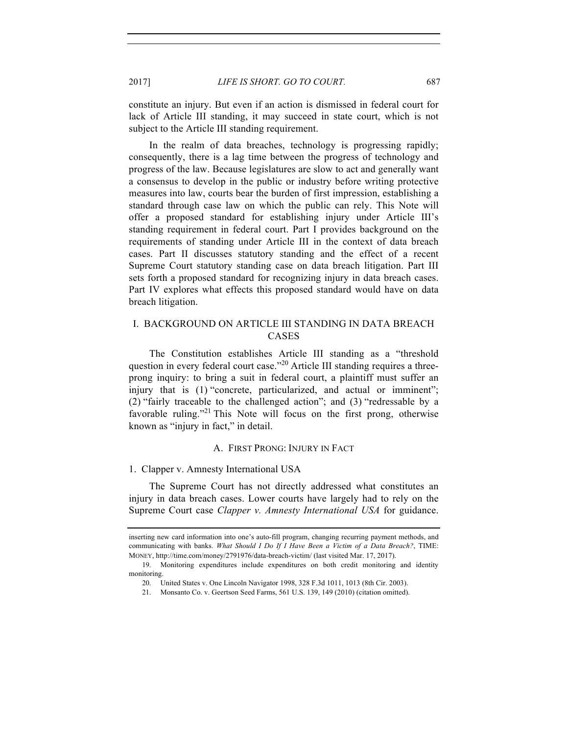constitute an injury. But even if an action is dismissed in federal court for lack of Article III standing, it may succeed in state court, which is not subject to the Article III standing requirement.

In the realm of data breaches, technology is progressing rapidly; consequently, there is a lag time between the progress of technology and progress of the law. Because legislatures are slow to act and generally want a consensus to develop in the public or industry before writing protective measures into law, courts bear the burden of first impression, establishing a standard through case law on which the public can rely. This Note will offer a proposed standard for establishing injury under Article III's standing requirement in federal court. Part I provides background on the requirements of standing under Article III in the context of data breach cases. Part II discusses statutory standing and the effect of a recent Supreme Court statutory standing case on data breach litigation. Part III sets forth a proposed standard for recognizing injury in data breach cases. Part IV explores what effects this proposed standard would have on data breach litigation.

# I. BACKGROUND ON ARTICLE III STANDING IN DATA BREACH CASES

The Constitution establishes Article III standing as a "threshold question in every federal court case."<sup>20</sup> Article III standing requires a threeprong inquiry: to bring a suit in federal court, a plaintiff must suffer an injury that is (1) "concrete, particularized, and actual or imminent"; (2) "fairly traceable to the challenged action"; and (3) "redressable by a favorable ruling."<sup>21</sup> This Note will focus on the first prong, otherwise known as "injury in fact," in detail.

# A. FIRST PRONG: INJURY IN FACT

#### 1. Clapper v. Amnesty International USA

The Supreme Court has not directly addressed what constitutes an injury in data breach cases. Lower courts have largely had to rely on the Supreme Court case *Clapper v. Amnesty International USA* for guidance.

inserting new card information into one's auto-fill program, changing recurring payment methods, and communicating with banks. *What Should I Do If I Have Been a Victim of a Data Breach?*, TIME: MONEY, http://time.com/money/2791976/data-breach-victim/ (last visited Mar. 17, 2017).

<sup>19.</sup> Monitoring expenditures include expenditures on both credit monitoring and identity monitoring.

<sup>20.</sup> United States v. One Lincoln Navigator 1998, 328 F.3d 1011, 1013 (8th Cir. 2003).

<sup>21.</sup> Monsanto Co. v. Geertson Seed Farms, 561 U.S. 139, 149 (2010) (citation omitted).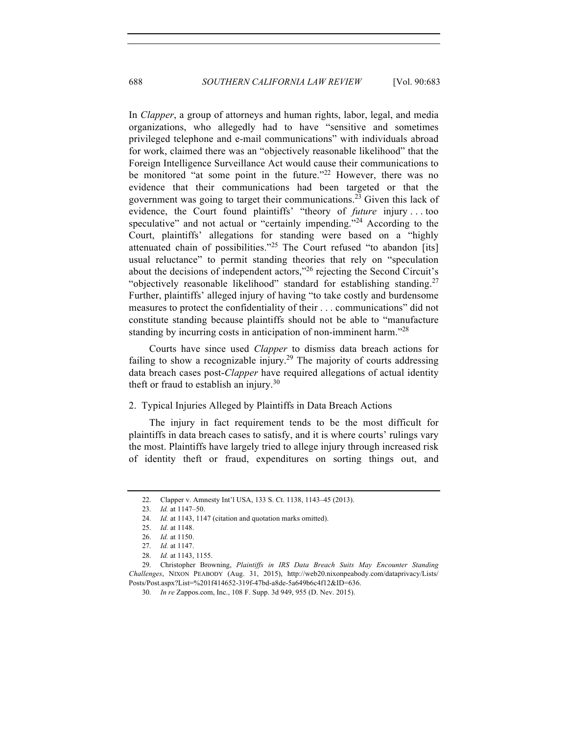In *Clapper*, a group of attorneys and human rights, labor, legal, and media organizations, who allegedly had to have "sensitive and sometimes privileged telephone and e-mail communications" with individuals abroad for work, claimed there was an "objectively reasonable likelihood" that the Foreign Intelligence Surveillance Act would cause their communications to be monitored "at some point in the future."<sup>22</sup> However, there was no evidence that their communications had been targeted or that the government was going to target their communications.<sup>23</sup> Given this lack of evidence, the Court found plaintiffs' "theory of *future* injury . . . too speculative" and not actual or "certainly impending. $^{224}$  According to the Court, plaintiffs' allegations for standing were based on a "highly attenuated chain of possibilities."<sup>25</sup> The Court refused "to abandon [its] usual reluctance" to permit standing theories that rely on "speculation about the decisions of independent actors,"26 rejecting the Second Circuit's "objectively reasonable likelihood" standard for establishing standing.<sup>27</sup> Further, plaintiffs' alleged injury of having "to take costly and burdensome measures to protect the confidentiality of their . . . communications" did not constitute standing because plaintiffs should not be able to "manufacture standing by incurring costs in anticipation of non-imminent harm.<sup>"28</sup>

Courts have since used *Clapper* to dismiss data breach actions for failing to show a recognizable injury.<sup>29</sup> The majority of courts addressing data breach cases post-*Clapper* have required allegations of actual identity theft or fraud to establish an injury.<sup>30</sup>

2. Typical Injuries Alleged by Plaintiffs in Data Breach Actions

The injury in fact requirement tends to be the most difficult for plaintiffs in data breach cases to satisfy, and it is where courts' rulings vary the most. Plaintiffs have largely tried to allege injury through increased risk of identity theft or fraud, expenditures on sorting things out, and

<sup>22.</sup> Clapper v. Amnesty Int'l USA, 133 S. Ct. 1138, 1143–45 (2013).

<sup>23.</sup> *Id.* at 1147–50.

<sup>24.</sup> *Id.* at 1143, 1147 (citation and quotation marks omitted).

<sup>25.</sup> *Id.* at 1148.

<sup>26.</sup> *Id.* at 1150.

<sup>27.</sup> *Id.* at 1147.

<sup>28.</sup> *Id.* at 1143, 1155.

<sup>29.</sup> Christopher Browning, *Plaintiffs in IRS Data Breach Suits May Encounter Standing Challenges*, NIXON PEABODY (Aug. 31, 2015), http://web20.nixonpeabody.com/dataprivacy/Lists/ Posts/Post.aspx?List=%201f414652-319f-47bd-a8de-5a649b6c4f12&ID=636.

<sup>30.</sup> *In re* Zappos.com, Inc., 108 F. Supp. 3d 949, 955 (D. Nev. 2015).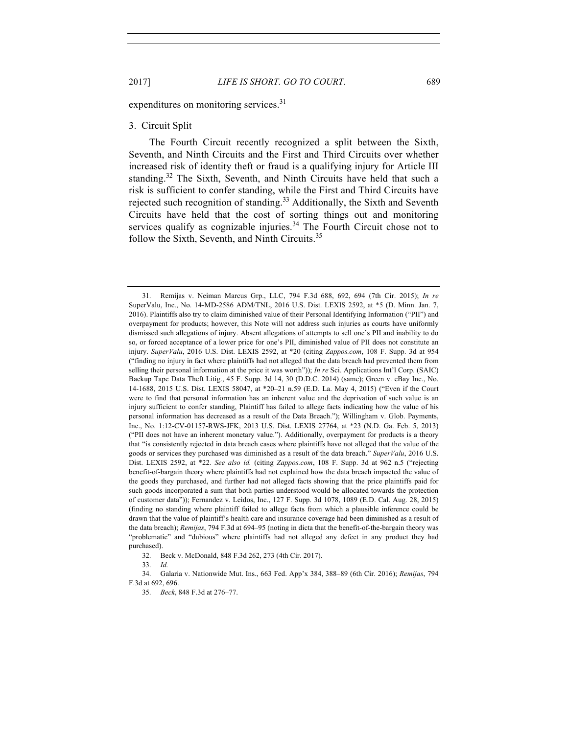expenditures on monitoring services.<sup>31</sup>

# 3. Circuit Split

The Fourth Circuit recently recognized a split between the Sixth, Seventh, and Ninth Circuits and the First and Third Circuits over whether increased risk of identity theft or fraud is a qualifying injury for Article III standing.<sup>32</sup> The Sixth, Seventh, and Ninth Circuits have held that such a risk is sufficient to confer standing, while the First and Third Circuits have rejected such recognition of standing.<sup>33</sup> Additionally, the Sixth and Seventh Circuits have held that the cost of sorting things out and monitoring services qualify as cognizable injuries.<sup>34</sup> The Fourth Circuit chose not to follow the Sixth, Seventh, and Ninth Circuits.<sup>35</sup>

<sup>31.</sup> Remijas v. Neiman Marcus Grp., LLC, 794 F.3d 688, 692, 694 (7th Cir. 2015); *In re* SuperValu, Inc., No. 14-MD-2586 ADM/TNL, 2016 U.S. Dist. LEXIS 2592, at \*5 (D. Minn. Jan. 7, 2016). Plaintiffs also try to claim diminished value of their Personal Identifying Information ("PII") and overpayment for products; however, this Note will not address such injuries as courts have uniformly dismissed such allegations of injury. Absent allegations of attempts to sell one's PII and inability to do so, or forced acceptance of a lower price for one's PII, diminished value of PII does not constitute an injury. *SuperValu*, 2016 U.S. Dist. LEXIS 2592, at \*20 (citing *Zappos.com*, 108 F. Supp. 3d at 954 ("finding no injury in fact where plaintiffs had not alleged that the data breach had prevented them from selling their personal information at the price it was worth")); *In re* Sci. Applications Int'l Corp. (SAIC) Backup Tape Data Theft Litig., 45 F. Supp. 3d 14, 30 (D.D.C. 2014) (same); Green v. eBay Inc., No. 14-1688, 2015 U.S. Dist. LEXIS 58047, at \*20–21 n.59 (E.D. La. May 4, 2015) ("Even if the Court were to find that personal information has an inherent value and the deprivation of such value is an injury sufficient to confer standing, Plaintiff has failed to allege facts indicating how the value of his personal information has decreased as a result of the Data Breach."); Willingham v. Glob. Payments, Inc., No. 1:12-CV-01157-RWS-JFK, 2013 U.S. Dist. LEXIS 27764, at \*23 (N.D. Ga. Feb. 5, 2013) ("PII does not have an inherent monetary value."). Additionally, overpayment for products is a theory that "is consistently rejected in data breach cases where plaintiffs have not alleged that the value of the goods or services they purchased was diminished as a result of the data breach." *SuperValu*, 2016 U.S. Dist. LEXIS 2592, at \*22*. See also id.* (citing *Zappos.com*, 108 F. Supp. 3d at 962 n.5 ("rejecting benefit-of-bargain theory where plaintiffs had not explained how the data breach impacted the value of the goods they purchased, and further had not alleged facts showing that the price plaintiffs paid for such goods incorporated a sum that both parties understood would be allocated towards the protection of customer data")); Fernandez v. Leidos, Inc., 127 F. Supp. 3d 1078, 1089 (E.D. Cal. Aug. 28, 2015) (finding no standing where plaintiff failed to allege facts from which a plausible inference could be drawn that the value of plaintiff's health care and insurance coverage had been diminished as a result of the data breach); *Remijas*, 794 F.3d at 694–95 (noting in dicta that the benefit-of-the-bargain theory was "problematic" and "dubious" where plaintiffs had not alleged any defect in any product they had purchased).

<sup>32.</sup> Beck v. McDonald, 848 F.3d 262, 273 (4th Cir. 2017).

<sup>33.</sup> *Id.*

<sup>34.</sup> Galaria v. Nationwide Mut. Ins., 663 Fed. App'x 384, 388–89 (6th Cir. 2016); *Remijas*, 794 F.3d at 692, 696.

<sup>35.</sup> *Beck*, 848 F.3d at 276–77.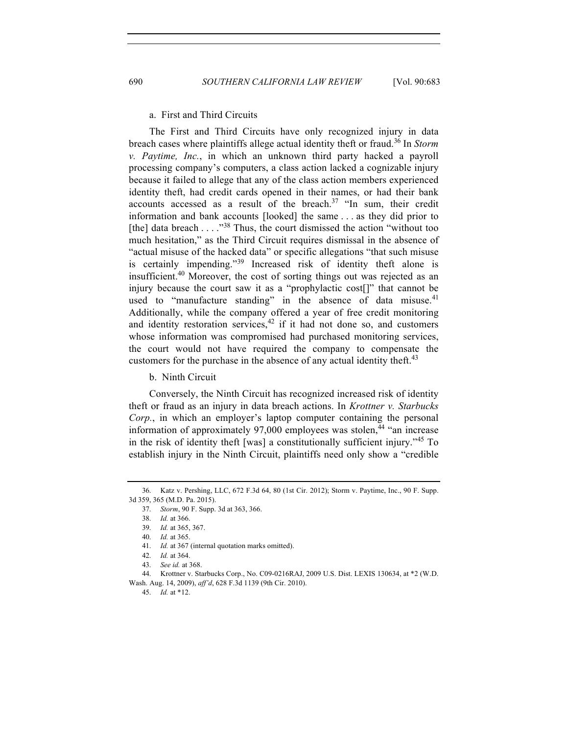## a. First and Third Circuits

The First and Third Circuits have only recognized injury in data breach cases where plaintiffs allege actual identity theft or fraud.<sup>36</sup> In *Storm v. Paytime, Inc.*, in which an unknown third party hacked a payroll processing company's computers, a class action lacked a cognizable injury because it failed to allege that any of the class action members experienced identity theft, had credit cards opened in their names, or had their bank accounts accessed as a result of the breach.<sup>37</sup> "In sum, their credit information and bank accounts [looked] the same . . . as they did prior to [the] data breach . . . . "<sup>38</sup> Thus, the court dismissed the action "without too much hesitation," as the Third Circuit requires dismissal in the absence of "actual misuse of the hacked data" or specific allegations "that such misuse is certainly impending."<sup>39</sup> Increased risk of identity theft alone is insufficient.<sup>40</sup> Moreover, the cost of sorting things out was rejected as an injury because the court saw it as a "prophylactic cost[]" that cannot be used to "manufacture standing" in the absence of data misuse.<sup>41</sup> Additionally, while the company offered a year of free credit monitoring and identity restoration services,  $42$  if it had not done so, and customers whose information was compromised had purchased monitoring services, the court would not have required the company to compensate the customers for the purchase in the absence of any actual identity theft.<sup>43</sup>

b. Ninth Circuit

Conversely, the Ninth Circuit has recognized increased risk of identity theft or fraud as an injury in data breach actions. In *Krottner v. Starbucks Corp.*, in which an employer's laptop computer containing the personal information of approximately  $97,000$  employees was stolen,<sup>44</sup> "an increase in the risk of identity theft [was] a constitutionally sufficient injury."<sup>45</sup> To establish injury in the Ninth Circuit, plaintiffs need only show a "credible

44. Krottner v. Starbucks Corp., No. C09-0216RAJ, 2009 U.S. Dist. LEXIS 130634, at \*2 (W.D. Wash. Aug. 14, 2009), *aff'd*, 628 F.3d 1139 (9th Cir. 2010).

<sup>36.</sup> Katz v. Pershing, LLC, 672 F.3d 64, 80 (1st Cir. 2012); Storm v. Paytime, Inc., 90 F. Supp. 3d 359, 365 (M.D. Pa. 2015).

<sup>37.</sup> *Storm*, 90 F. Supp. 3d at 363, 366.

<sup>38.</sup> *Id.* at 366.

<sup>39.</sup> *Id.* at 365, 367.

<sup>40.</sup> *Id.* at 365.

<sup>41.</sup> *Id.* at 367 (internal quotation marks omitted).

<sup>42.</sup> *Id.* at 364.

<sup>43.</sup> *See id.* at 368.

<sup>45.</sup> *Id.* at \*12.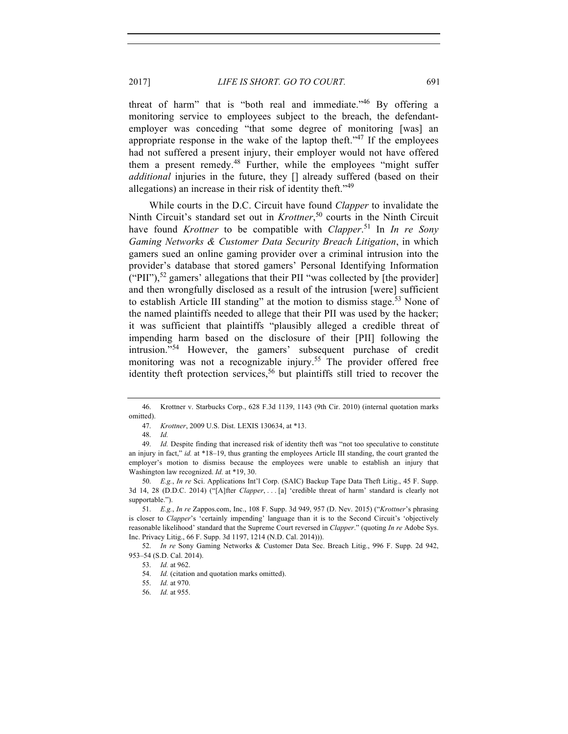threat of harm" that is "both real and immediate."46 By offering a monitoring service to employees subject to the breach, the defendantemployer was conceding "that some degree of monitoring [was] an appropriate response in the wake of the laptop theft." $47$  If the employees had not suffered a present injury, their employer would not have offered them a present remedy.<sup>48</sup> Further, while the employees "might suffer *additional* injuries in the future, they [] already suffered (based on their allegations) an increase in their risk of identity theft."<sup>49</sup>

While courts in the D.C. Circuit have found *Clapper* to invalidate the Ninth Circuit's standard set out in *Krottner*, <sup>50</sup> courts in the Ninth Circuit have found *Krottner* to be compatible with *Clapper*. <sup>51</sup> In *In re Sony Gaming Networks & Customer Data Security Breach Litigation*, in which gamers sued an online gaming provider over a criminal intrusion into the provider's database that stored gamers' Personal Identifying Information  $({\rm "PII"}),$ <sup>52</sup> gamers' allegations that their PII "was collected by [the provider] and then wrongfully disclosed as a result of the intrusion [were] sufficient to establish Article III standing" at the motion to dismiss stage.<sup>53</sup> None of the named plaintiffs needed to allege that their PII was used by the hacker; it was sufficient that plaintiffs "plausibly alleged a credible threat of impending harm based on the disclosure of their [PII] following the intrusion."<sup>54</sup> However, the gamers' subsequent purchase of credit monitoring was not a recognizable injury.<sup>55</sup> The provider offered free identity theft protection services,<sup>56</sup> but plaintiffs still tried to recover the

47. *Krottner*, 2009 U.S. Dist. LEXIS 130634, at \*13.

52. *In re* Sony Gaming Networks & Customer Data Sec. Breach Litig., 996 F. Supp. 2d 942, 953–54 (S.D. Cal. 2014).

<sup>46.</sup> Krottner v. Starbucks Corp., 628 F.3d 1139, 1143 (9th Cir. 2010) (internal quotation marks omitted).

<sup>48.</sup> *Id.*

<sup>49.</sup> *Id.* Despite finding that increased risk of identity theft was "not too speculative to constitute an injury in fact," *id.* at \*18–19, thus granting the employees Article III standing, the court granted the employer's motion to dismiss because the employees were unable to establish an injury that Washington law recognized. *Id.* at \*19, 30.

<sup>50.</sup> *E.g.*, *In re* Sci. Applications Int'l Corp. (SAIC) Backup Tape Data Theft Litig., 45 F. Supp. 3d 14, 28 (D.D.C. 2014) ("[A]fter *Clapper*, . . . [a] 'credible threat of harm' standard is clearly not supportable.").

<sup>51.</sup> *E.g.*, *In re* Zappos.com, Inc., 108 F. Supp. 3d 949, 957 (D. Nev. 2015) ("*Krottner*'s phrasing is closer to *Clapper*'s 'certainly impending' language than it is to the Second Circuit's 'objectively reasonable likelihood' standard that the Supreme Court reversed in *Clapper*." (quoting *In re* Adobe Sys. Inc. Privacy Litig., 66 F. Supp. 3d 1197, 1214 (N.D. Cal. 2014))).

<sup>53.</sup> *Id.* at 962.

<sup>54.</sup> *Id.* (citation and quotation marks omitted).

<sup>55.</sup> *Id.* at 970.

<sup>56.</sup> *Id.* at 955.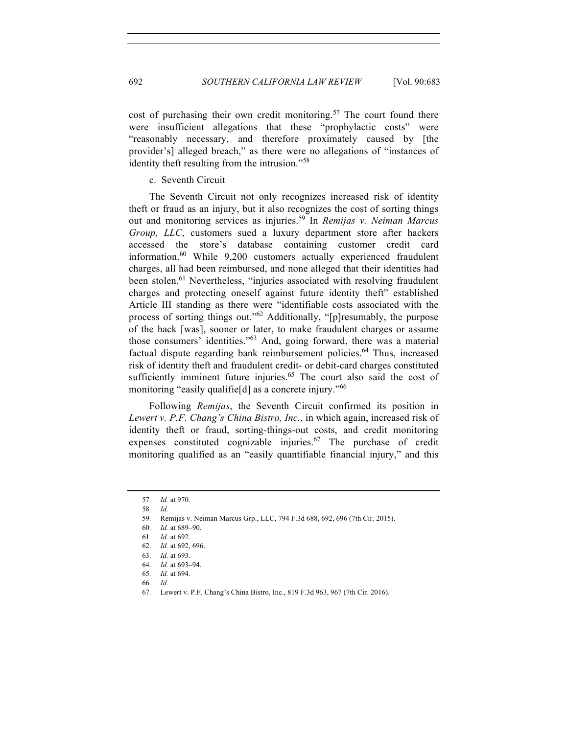cost of purchasing their own credit monitoring.<sup>57</sup> The court found there were insufficient allegations that these "prophylactic costs" were "reasonably necessary, and therefore proximately caused by [the provider's] alleged breach," as there were no allegations of "instances of identity theft resulting from the intrusion."<sup>58</sup>

c. Seventh Circuit

The Seventh Circuit not only recognizes increased risk of identity theft or fraud as an injury, but it also recognizes the cost of sorting things out and monitoring services as injuries.59 In *Remijas v. Neiman Marcus Group, LLC*, customers sued a luxury department store after hackers accessed the store's database containing customer credit card information.<sup>60</sup> While 9,200 customers actually experienced fraudulent charges, all had been reimbursed, and none alleged that their identities had been stolen.<sup>61</sup> Nevertheless, "injuries associated with resolving fraudulent charges and protecting oneself against future identity theft" established Article III standing as there were "identifiable costs associated with the process of sorting things out."<sup>62</sup> Additionally, "[p]resumably, the purpose of the hack [was], sooner or later, to make fraudulent charges or assume those consumers' identities."63 And, going forward, there was a material factual dispute regarding bank reimbursement policies.<sup>64</sup> Thus, increased risk of identity theft and fraudulent credit- or debit-card charges constituted sufficiently imminent future injuries.<sup>65</sup> The court also said the cost of monitoring "easily qualifie<sup>[d]</sup> as a concrete injury."<sup>66</sup>

Following *Remijas*, the Seventh Circuit confirmed its position in *Lewert v. P.F. Chang's China Bistro, Inc.*, in which again, increased risk of identity theft or fraud, sorting-things-out costs, and credit monitoring expenses constituted cognizable injuries.<sup> $67$ </sup> The purchase of credit monitoring qualified as an "easily quantifiable financial injury," and this

<sup>57.</sup> *Id.* at 970.

<sup>58.</sup> *Id.*

<sup>59.</sup> Remijas v. Neiman Marcus Grp., LLC, 794 F.3d 688, 692, 696 (7th Cir. 2015).

<sup>60.</sup> *Id.* at 689–90.

<sup>61.</sup> *Id.* at 692.

<sup>62.</sup> *Id.* at 692, 696.

<sup>63.</sup> *Id.* at 693.

<sup>64.</sup> *Id.* at 693–94.

<sup>65.</sup> *Id.* at 694.

<sup>66.</sup> *Id.*

<sup>67.</sup> Lewert v. P.F. Chang's China Bistro, Inc., 819 F.3d 963, 967 (7th Cir. 2016).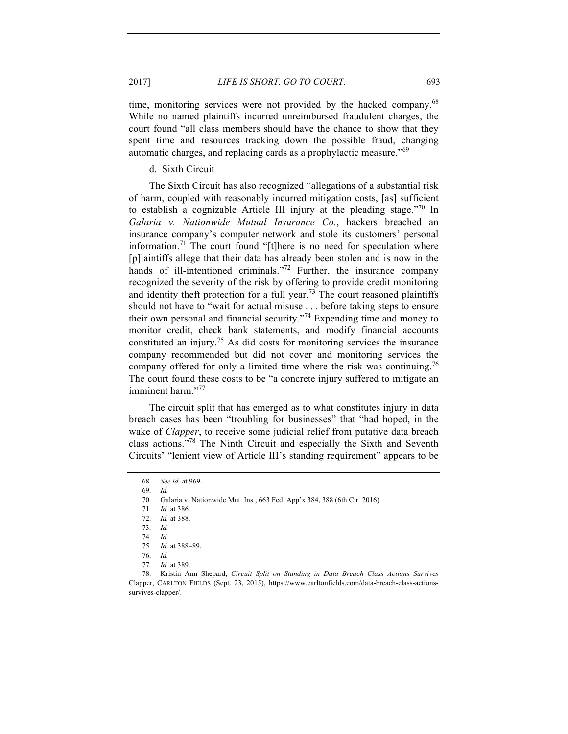time, monitoring services were not provided by the hacked company.<sup>68</sup> While no named plaintiffs incurred unreimbursed fraudulent charges, the court found "all class members should have the chance to show that they spent time and resources tracking down the possible fraud, changing automatic charges, and replacing cards as a prophylactic measure.<sup>"69</sup>

# d. Sixth Circuit

The Sixth Circuit has also recognized "allegations of a substantial risk of harm, coupled with reasonably incurred mitigation costs, [as] sufficient to establish a cognizable Article III injury at the pleading stage.<sup>"70</sup> In *Galaria v. Nationwide Mutual Insurance Co.*, hackers breached an insurance company's computer network and stole its customers' personal information.<sup>71</sup> The court found " $[t]$ here is no need for speculation where [p]laintiffs allege that their data has already been stolen and is now in the hands of ill-intentioned criminals."<sup>72</sup> Further, the insurance company recognized the severity of the risk by offering to provide credit monitoring and identity theft protection for a full year.<sup>73</sup> The court reasoned plaintiffs should not have to "wait for actual misuse . . . before taking steps to ensure their own personal and financial security."<sup>74</sup> Expending time and money to monitor credit, check bank statements, and modify financial accounts constituted an injury. <sup>75</sup> As did costs for monitoring services the insurance company recommended but did not cover and monitoring services the company offered for only a limited time where the risk was continuing.<sup>76</sup> The court found these costs to be "a concrete injury suffered to mitigate an imminent harm."<sup>77</sup>

The circuit split that has emerged as to what constitutes injury in data breach cases has been "troubling for businesses" that "had hoped, in the wake of *Clapper*, to receive some judicial relief from putative data breach class actions."<sup>78</sup> The Ninth Circuit and especially the Sixth and Seventh Circuits' "lenient view of Article III's standing requirement" appears to be

<sup>68.</sup> *See id.* at 969.

<sup>69.</sup> *Id.*

<sup>70.</sup> Galaria v. Nationwide Mut. Ins., 663 Fed. App'x 384, 388 (6th Cir. 2016).

<sup>71.</sup> *Id.* at 386.

<sup>72.</sup> *Id.* at 388.

<sup>73.</sup> *Id.*

<sup>74.</sup> *Id.*

<sup>75.</sup> *Id.* at 388–89.

<sup>76.</sup> *Id.*

<sup>77.</sup> *Id.* at 389.

<sup>78.</sup> Kristin Ann Shepard, *Circuit Split on Standing in Data Breach Class Actions Survives* Clapper, CARLTON FIELDS (Sept. 23, 2015), https://www.carltonfields.com/data-breach-class-actionssurvives-clapper/.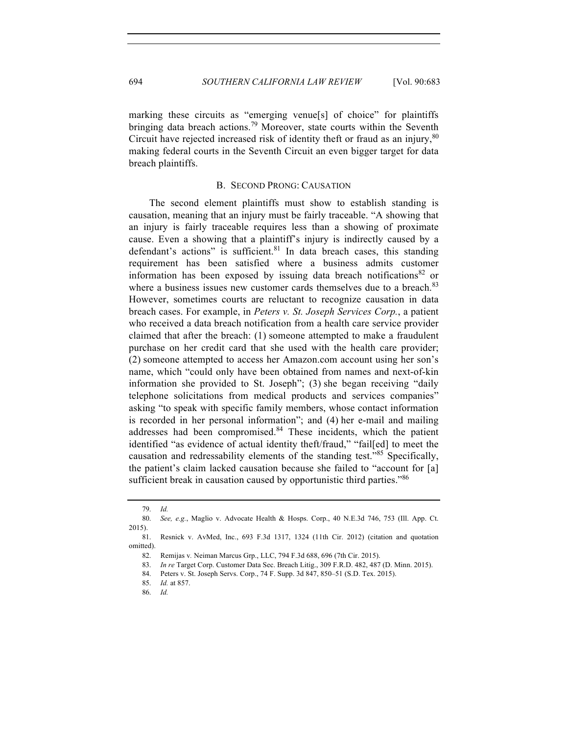marking these circuits as "emerging venue[s] of choice" for plaintiffs bringing data breach actions.<sup>79</sup> Moreover, state courts within the Seventh Circuit have rejected increased risk of identity theft or fraud as an injury,  $80$ making federal courts in the Seventh Circuit an even bigger target for data breach plaintiffs.

## B. SECOND PRONG: CAUSATION

The second element plaintiffs must show to establish standing is causation, meaning that an injury must be fairly traceable. "A showing that an injury is fairly traceable requires less than a showing of proximate cause. Even a showing that a plaintiff's injury is indirectly caused by a defendant's actions" is sufficient.  $81$  In data breach cases, this standing requirement has been satisfied where a business admits customer information has been exposed by issuing data breach notifications $82$  or where a business issues new customer cards themselves due to a breach.<sup>83</sup> However, sometimes courts are reluctant to recognize causation in data breach cases. For example, in *Peters v. St. Joseph Services Corp.*, a patient who received a data breach notification from a health care service provider claimed that after the breach: (1) someone attempted to make a fraudulent purchase on her credit card that she used with the health care provider; (2) someone attempted to access her Amazon.com account using her son's name, which "could only have been obtained from names and next-of-kin information she provided to St. Joseph"; (3) she began receiving "daily telephone solicitations from medical products and services companies" asking "to speak with specific family members, whose contact information is recorded in her personal information"; and (4) her e-mail and mailing addresses had been compromised.<sup>84</sup> These incidents, which the patient identified "as evidence of actual identity theft/fraud," "fail[ed] to meet the causation and redressability elements of the standing test."<sup>85</sup> Specifically, the patient's claim lacked causation because she failed to "account for [a] sufficient break in causation caused by opportunistic third parties."<sup>86</sup>

<sup>79.</sup> *Id.*

<sup>80.</sup> *See, e.g.*, Maglio v. Advocate Health & Hosps. Corp., 40 N.E.3d 746, 753 (Ill. App. Ct. 2015).

<sup>81.</sup> Resnick v. AvMed, Inc., 693 F.3d 1317, 1324 (11th Cir. 2012) (citation and quotation omitted).

<sup>82.</sup> Remijas v*.* Neiman Marcus Grp., LLC, 794 F.3d 688, 696 (7th Cir. 2015).

<sup>83.</sup> *In re* Target Corp. Customer Data Sec. Breach Litig., 309 F.R.D. 482, 487 (D. Minn. 2015).

<sup>84.</sup> Peters v. St. Joseph Servs. Corp., 74 F. Supp. 3d 847, 850–51 (S.D. Tex. 2015).

<sup>85.</sup> *Id.* at 857.

<sup>86.</sup> *Id.*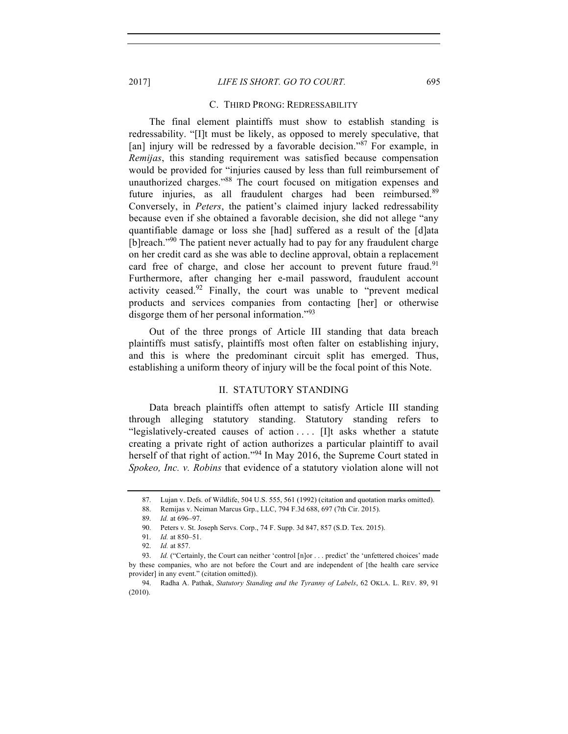## 2017] *LIFE IS SHORT. GO TO COURT.* 695

#### C. THIRD PRONG: REDRESSABILITY

The final element plaintiffs must show to establish standing is redressability. "[I]t must be likely, as opposed to merely speculative, that [an] injury will be redressed by a favorable decision."<sup>87</sup> For example, in *Remijas*, this standing requirement was satisfied because compensation would be provided for "injuries caused by less than full reimbursement of unauthorized charges."<sup>88</sup> The court focused on mitigation expenses and future injuries, as all fraudulent charges had been reimbursed.<sup>89</sup> Conversely, in *Peters*, the patient's claimed injury lacked redressability because even if she obtained a favorable decision, she did not allege "any quantifiable damage or loss she [had] suffered as a result of the [d]ata [b]reach. $190$ <sup>00</sup> The patient never actually had to pay for any fraudulent charge on her credit card as she was able to decline approval, obtain a replacement card free of charge, and close her account to prevent future fraud.<sup>91</sup> Furthermore, after changing her e-mail password, fraudulent account activity ceased.<sup>92</sup> Finally, the court was unable to "prevent medical products and services companies from contacting [her] or otherwise disgorge them of her personal information."<sup>93</sup>

Out of the three prongs of Article III standing that data breach plaintiffs must satisfy, plaintiffs most often falter on establishing injury, and this is where the predominant circuit split has emerged. Thus, establishing a uniform theory of injury will be the focal point of this Note.

## II. STATUTORY STANDING

Data breach plaintiffs often attempt to satisfy Article III standing through alleging statutory standing. Statutory standing refers to "legislatively-created causes of action . . . . [I]t asks whether a statute creating a private right of action authorizes a particular plaintiff to avail herself of that right of action."<sup>94</sup> In May 2016, the Supreme Court stated in *Spokeo, Inc. v. Robins* that evidence of a statutory violation alone will not

<sup>87.</sup> Lujan v. Defs. of Wildlife, 504 U.S. 555, 561 (1992) (citation and quotation marks omitted).

<sup>88.</sup> Remijas v. Neiman Marcus Grp., LLC, 794 F.3d 688, 697 (7th Cir. 2015).

<sup>89.</sup> *Id.* at 696–97.

<sup>90.</sup> Peters v. St. Joseph Servs. Corp., 74 F. Supp. 3d 847, 857 (S.D. Tex. 2015).

<sup>91.</sup> *Id.* at 850–51.

<sup>92.</sup> *Id.* at 857.

<sup>93.</sup> *Id.* ("Certainly, the Court can neither 'control [n]or . . . predict' the 'unfettered choices' made by these companies, who are not before the Court and are independent of [the health care service provider] in any event." (citation omitted)).

<sup>94.</sup> Radha A. Pathak, *Statutory Standing and the Tyranny of Labels*, 62 OKLA. L. REV. 89, 91 (2010).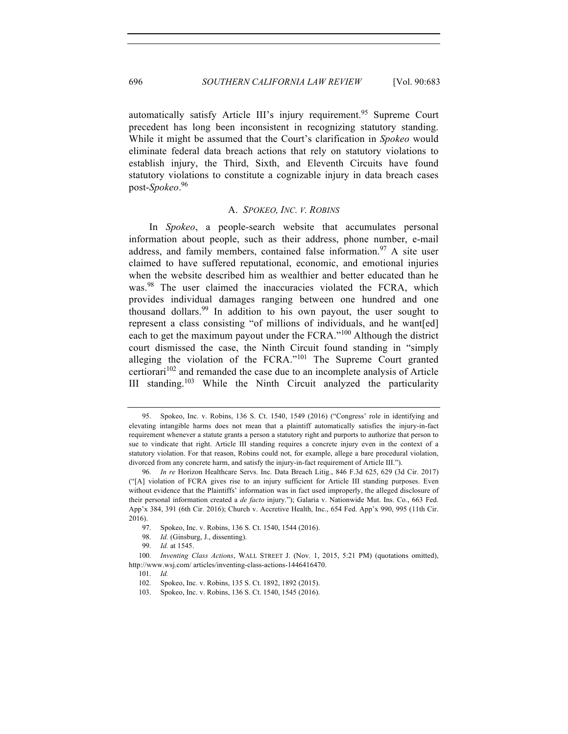automatically satisfy Article III's injury requirement.<sup>95</sup> Supreme Court precedent has long been inconsistent in recognizing statutory standing. While it might be assumed that the Court's clarification in *Spokeo* would eliminate federal data breach actions that rely on statutory violations to establish injury, the Third, Sixth, and Eleventh Circuits have found statutory violations to constitute a cognizable injury in data breach cases post-*Spokeo*. 96

## A. *SPOKEO, INC. V. ROBINS*

In *Spokeo*, a people-search website that accumulates personal information about people, such as their address, phone number, e-mail address, and family members, contained false information.<sup>97</sup> A site user claimed to have suffered reputational, economic, and emotional injuries when the website described him as wealthier and better educated than he was.<sup>98</sup> The user claimed the inaccuracies violated the FCRA, which provides individual damages ranging between one hundred and one thousand dollars. <sup>99</sup> In addition to his own payout, the user sought to represent a class consisting "of millions of individuals, and he want[ed] each to get the maximum payout under the FCRA."<sup>100</sup> Although the district court dismissed the case, the Ninth Circuit found standing in "simply alleging the violation of the FCRA."<sup>101</sup> The Supreme Court granted certiorari<sup>102</sup> and remanded the case due to an incomplete analysis of Article III standing.<sup>103</sup> While the Ninth Circuit analyzed the particularity

<sup>95.</sup> Spokeo, Inc. v. Robins, 136 S. Ct. 1540, 1549 (2016) ("Congress' role in identifying and elevating intangible harms does not mean that a plaintiff automatically satisfies the injury-in-fact requirement whenever a statute grants a person a statutory right and purports to authorize that person to sue to vindicate that right. Article III standing requires a concrete injury even in the context of a statutory violation. For that reason, Robins could not, for example, allege a bare procedural violation, divorced from any concrete harm, and satisfy the injury-in-fact requirement of Article III.").

<sup>96.</sup> *In re* Horizon Healthcare Servs. Inc. Data Breach Litig., 846 F.3d 625, 629 (3d Cir. 2017) ("[A] violation of FCRA gives rise to an injury sufficient for Article III standing purposes. Even without evidence that the Plaintiffs' information was in fact used improperly, the alleged disclosure of their personal information created a *de facto* injury."); Galaria v. Nationwide Mut. Ins. Co., 663 Fed. App'x 384, 391 (6th Cir. 2016); Church v. Accretive Health, Inc., 654 Fed. App'x 990, 995 (11th Cir. 2016).

<sup>97.</sup> Spokeo, Inc. v. Robins, 136 S. Ct. 1540, 1544 (2016).

<sup>98.</sup> *Id.* (Ginsburg, J., dissenting).

<sup>99.</sup> *Id.* at 1545.

<sup>100.</sup> *Inventing Class Actions*, WALL STREET J. (Nov. 1, 2015, 5:21 PM) (quotations omitted), http://www.wsj.com/ articles/inventing-class-actions-1446416470.

<sup>101.</sup> *Id.*

<sup>102.</sup> Spokeo, Inc. v. Robins, 135 S. Ct. 1892, 1892 (2015).

<sup>103.</sup> Spokeo, Inc. v. Robins, 136 S. Ct. 1540, 1545 (2016).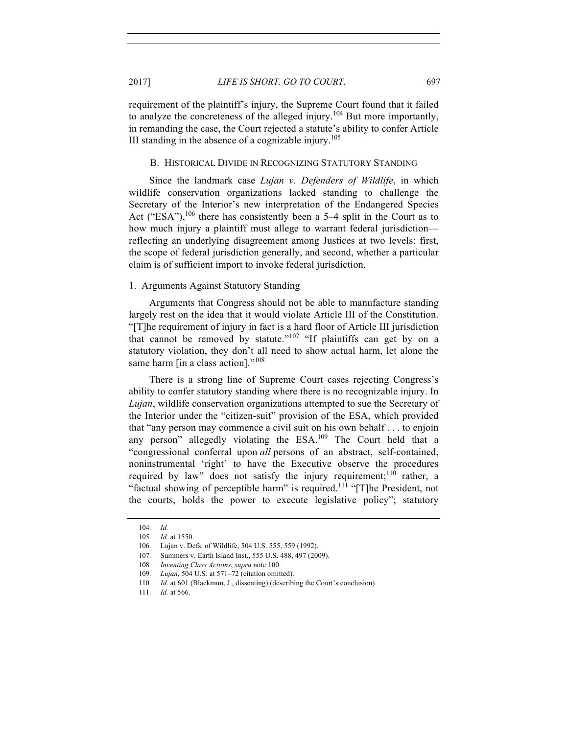III standing in the absence of a cognizable injury.<sup>105</sup>

requirement of the plaintiff's injury, the Supreme Court found that it failed to analyze the concreteness of the alleged injury.<sup>104</sup> But more importantly, in remanding the case, the Court rejected a statute's ability to confer Article

#### B. HISTORICAL DIVIDE IN RECOGNIZING STATUTORY STANDING

Since the landmark case *Lujan v. Defenders of Wildlife*, in which wildlife conservation organizations lacked standing to challenge the Secretary of the Interior's new interpretation of the Endangered Species Act ("ESA"),  $106$  there has consistently been a 5–4 split in the Court as to how much injury a plaintiff must allege to warrant federal jurisdiction reflecting an underlying disagreement among Justices at two levels: first, the scope of federal jurisdiction generally, and second, whether a particular claim is of sufficient import to invoke federal jurisdiction.

## 1. Arguments Against Statutory Standing

Arguments that Congress should not be able to manufacture standing largely rest on the idea that it would violate Article III of the Constitution. "[T]he requirement of injury in fact is a hard floor of Article III jurisdiction that cannot be removed by statute."<sup>107</sup> "If plaintiffs can get by on a statutory violation, they don't all need to show actual harm, let alone the same harm [in a class action]."<sup>108</sup>

There is a strong line of Supreme Court cases rejecting Congress's ability to confer statutory standing where there is no recognizable injury. In *Lujan*, wildlife conservation organizations attempted to sue the Secretary of the Interior under the "citizen-suit" provision of the ESA, which provided that "any person may commence a civil suit on his own behalf . . . to enjoin any person" allegedly violating the ESA.<sup>109</sup> The Court held that a "congressional conferral upon *all* persons of an abstract, self-contained, noninstrumental 'right' to have the Executive observe the procedures required by law" does not satisfy the injury requirement;<sup>110</sup> rather, a "factual showing of perceptible harm" is required.<sup>111</sup> "[T]he President, not the courts, holds the power to execute legislative policy"; statutory

<sup>104.</sup> *Id.*

<sup>105.</sup> *Id.* at 1550.

<sup>106.</sup> Lujan v. Defs. of Wildlife, 504 U.S. 555, 559 (1992).

<sup>107.</sup> Summers v. Earth Island Inst., 555 U.S. 488, 497 (2009).

<sup>108.</sup> *Inventing Class Actions*, *supra* note 100.

<sup>109.</sup> *Lujan*, 504 U.S. at 571–72 (citation omitted).

<sup>110.</sup> *Id.* at 601 (Blackmun, J., dissenting) (describing the Court's conclusion).

<sup>111.</sup> *Id.* at 566.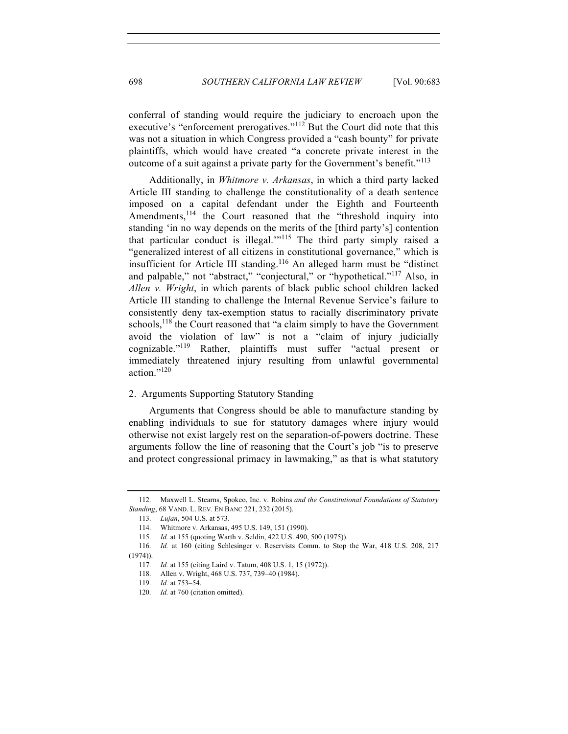conferral of standing would require the judiciary to encroach upon the executive's "enforcement prerogatives."<sup>112</sup> But the Court did note that this was not a situation in which Congress provided a "cash bounty" for private plaintiffs, which would have created "a concrete private interest in the outcome of a suit against a private party for the Government's benefit."<sup>113</sup>

Additionally, in *Whitmore v. Arkansas*, in which a third party lacked Article III standing to challenge the constitutionality of a death sentence imposed on a capital defendant under the Eighth and Fourteenth Amendments,<sup>114</sup> the Court reasoned that the "threshold inquiry into standing 'in no way depends on the merits of the [third party's] contention that particular conduct is illegal.'"<sup>115</sup> The third party simply raised a "generalized interest of all citizens in constitutional governance," which is insufficient for Article III standing.<sup>116</sup> An alleged harm must be "distinct and palpable," not "abstract," "conjectural," or "hypothetical."117 Also, in *Allen v. Wright*, in which parents of black public school children lacked Article III standing to challenge the Internal Revenue Service's failure to consistently deny tax-exemption status to racially discriminatory private schools,  $118$  the Court reasoned that "a claim simply to have the Government avoid the violation of law" is not a "claim of injury judicially cognizable."<sup>119</sup> Rather, plaintiffs must suffer "actual present or immediately threatened injury resulting from unlawful governmental action."<sup>120</sup>

# 2. Arguments Supporting Statutory Standing

Arguments that Congress should be able to manufacture standing by enabling individuals to sue for statutory damages where injury would otherwise not exist largely rest on the separation-of-powers doctrine. These arguments follow the line of reasoning that the Court's job "is to preserve and protect congressional primacy in lawmaking," as that is what statutory

<sup>112.</sup> Maxwell L. Stearns, Spokeo, Inc. v. Robins *and the Constitutional Foundations of Statutory Standing*, 68 VAND. L. REV. EN BANC 221, 232 (2015).

<sup>113.</sup> *Lujan*, 504 U.S. at 573.

<sup>114.</sup> Whitmore v. Arkansas, 495 U.S. 149, 151 (1990).

<sup>115.</sup> *Id.* at 155 (quoting Warth v. Seldin, 422 U.S. 490, 500 (1975)).

<sup>116.</sup> *Id.* at 160 (citing Schlesinger v. Reservists Comm. to Stop the War, 418 U.S. 208, 217 (1974)).

<sup>117.</sup> *Id.* at 155 (citing Laird v. Tatum, 408 U.S. 1, 15 (1972)).

<sup>118.</sup> Allen v. Wright, 468 U.S. 737, 739–40 (1984).

<sup>119.</sup> *Id.* at 753–54.

<sup>120.</sup> *Id.* at 760 (citation omitted).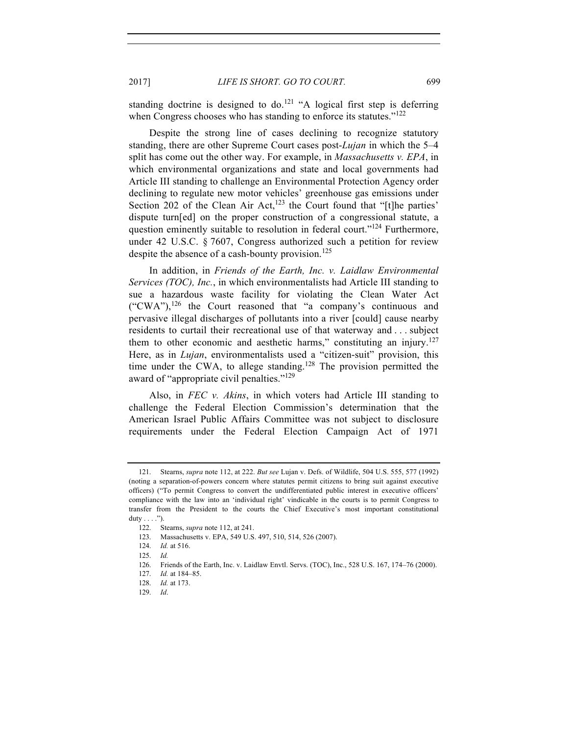standing doctrine is designed to do.<sup>121</sup> "A logical first step is deferring when Congress chooses who has standing to enforce its statutes."<sup>122</sup>

Despite the strong line of cases declining to recognize statutory standing, there are other Supreme Court cases post-*Lujan* in which the 5–4 split has come out the other way. For example, in *Massachusetts v. EPA*, in which environmental organizations and state and local governments had Article III standing to challenge an Environmental Protection Agency order declining to regulate new motor vehicles' greenhouse gas emissions under Section 202 of the Clean Air Act, $123$  the Court found that "[t]he parties' dispute turn[ed] on the proper construction of a congressional statute, a question eminently suitable to resolution in federal court."<sup>124</sup> Furthermore, under 42 U.S.C. § 7607, Congress authorized such a petition for review despite the absence of a cash-bounty provision.<sup>125</sup>

In addition, in *Friends of the Earth, Inc. v. Laidlaw Environmental Services (TOC), Inc.*, in which environmentalists had Article III standing to sue a hazardous waste facility for violating the Clean Water Act  $({}^{\circ}$ CWA"),<sup>126</sup> the Court reasoned that "a company's continuous and pervasive illegal discharges of pollutants into a river [could] cause nearby residents to curtail their recreational use of that waterway and . . . subject them to other economic and aesthetic harms," constituting an injury.<sup>127</sup> Here, as in *Lujan*, environmentalists used a "citizen-suit" provision, this time under the CWA, to allege standing.<sup>128</sup> The provision permitted the award of "appropriate civil penalties."<sup>129</sup>

Also, in *FEC v. Akins*, in which voters had Article III standing to challenge the Federal Election Commission's determination that the American Israel Public Affairs Committee was not subject to disclosure requirements under the Federal Election Campaign Act of 1971

<sup>121.</sup> Stearns, *supra* note 112, at 222. *But see* Lujan v. Defs. of Wildlife, 504 U.S. 555, 577 (1992) (noting a separation-of-powers concern where statutes permit citizens to bring suit against executive officers) ("To permit Congress to convert the undifferentiated public interest in executive officers' compliance with the law into an 'individual right' vindicable in the courts is to permit Congress to transfer from the President to the courts the Chief Executive's most important constitutional duty . . . .").

<sup>122.</sup> Stearns, *supra* note 112, at 241.

<sup>123.</sup> Massachusetts v. EPA, 549 U.S. 497, 510, 514, 526 (2007).

<sup>124.</sup> *Id.* at 516.

<sup>125.</sup> *Id.*

<sup>126.</sup> Friends of the Earth, Inc. v. Laidlaw Envtl. Servs. (TOC), Inc., 528 U.S. 167, 174–76 (2000).

<sup>127.</sup> *Id.* at 184–85.

<sup>128.</sup> *Id.* at 173.

<sup>129.</sup> *Id*.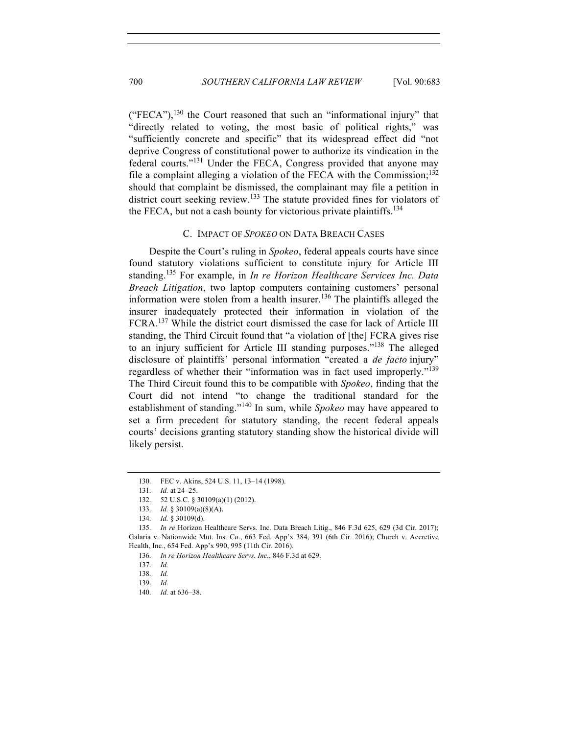("FECA"),<sup>130</sup> the Court reasoned that such an "informational injury" that "directly related to voting, the most basic of political rights," was "sufficiently concrete and specific" that its widespread effect did "not deprive Congress of constitutional power to authorize its vindication in the federal courts."<sup>131</sup> Under the FECA, Congress provided that anyone may file a complaint alleging a violation of the FECA with the Commission;<sup>132</sup> should that complaint be dismissed, the complainant may file a petition in district court seeking review.<sup>133</sup> The statute provided fines for violators of the FECA, but not a cash bounty for victorious private plaintiffs.<sup>134</sup>

# C. IMPACT OF *SPOKEO* ON DATA BREACH CASES

Despite the Court's ruling in *Spokeo*, federal appeals courts have since found statutory violations sufficient to constitute injury for Article III standing. <sup>135</sup> For example, in *In re Horizon Healthcare Services Inc. Data Breach Litigation*, two laptop computers containing customers' personal information were stolen from a health insurer.<sup>136</sup> The plaintiffs alleged the insurer inadequately protected their information in violation of the FCRA.<sup>137</sup> While the district court dismissed the case for lack of Article III standing, the Third Circuit found that "a violation of [the] FCRA gives rise to an injury sufficient for Article III standing purposes."<sup>138</sup> The alleged disclosure of plaintiffs' personal information "created a *de facto* injury" regardless of whether their "information was in fact used improperly."<sup>139</sup> The Third Circuit found this to be compatible with *Spokeo*, finding that the Court did not intend "to change the traditional standard for the establishment of standing."<sup>140</sup> In sum, while *Spokeo* may have appeared to set a firm precedent for statutory standing, the recent federal appeals courts' decisions granting statutory standing show the historical divide will likely persist.

<sup>130.</sup> FEC v. Akins, 524 U.S. 11, 13–14 (1998).

<sup>131.</sup> *Id.* at 24–25.

<sup>132.</sup> 52 U.S.C. § 30109(a)(1) (2012).

<sup>133.</sup> *Id.* § 30109(a)(8)(A).

<sup>134.</sup> *Id.* § 30109(d).

<sup>135.</sup> *In re* Horizon Healthcare Servs. Inc. Data Breach Litig., 846 F.3d 625, 629 (3d Cir. 2017); Galaria v. Nationwide Mut. Ins. Co., 663 Fed. App'x 384, 391 (6th Cir. 2016); Church v. Accretive Health, Inc., 654 Fed. App'x 990, 995 (11th Cir. 2016).

<sup>136.</sup> *In re Horizon Healthcare Servs. Inc.*, 846 F.3d at 629.

<sup>137.</sup> *Id.*

<sup>138.</sup> *Id.*

<sup>139.</sup> *Id.*

<sup>140.</sup> *Id.* at 636–38.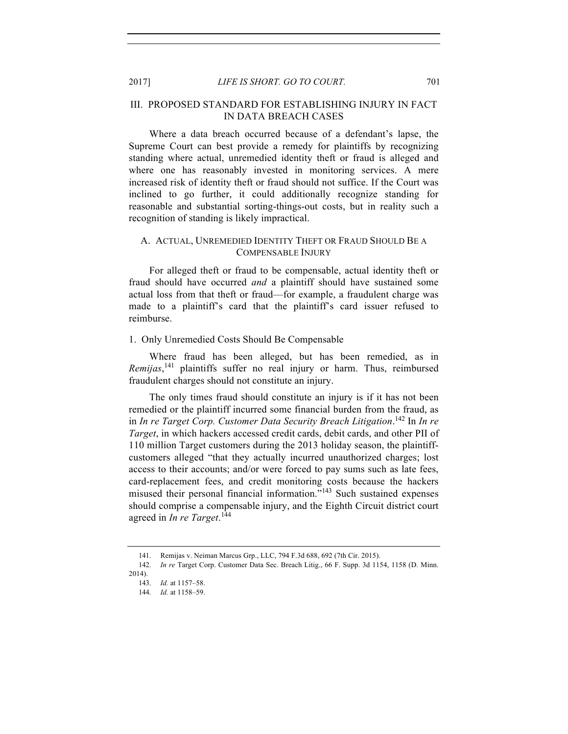## 2017] *LIFE IS SHORT. GO TO COURT.* 701

# III. PROPOSED STANDARD FOR ESTABLISHING INJURY IN FACT IN DATA BREACH CASES

Where a data breach occurred because of a defendant's lapse, the Supreme Court can best provide a remedy for plaintiffs by recognizing standing where actual, unremedied identity theft or fraud is alleged and where one has reasonably invested in monitoring services. A mere increased risk of identity theft or fraud should not suffice. If the Court was inclined to go further, it could additionally recognize standing for reasonable and substantial sorting-things-out costs, but in reality such a recognition of standing is likely impractical.

# A. ACTUAL, UNREMEDIED IDENTITY THEFT OR FRAUD SHOULD BE A COMPENSABLE INJURY

For alleged theft or fraud to be compensable, actual identity theft or fraud should have occurred *and* a plaintiff should have sustained some actual loss from that theft or fraud—for example, a fraudulent charge was made to a plaintiff's card that the plaintiff's card issuer refused to reimburse.

#### 1. Only Unremedied Costs Should Be Compensable

Where fraud has been alleged, but has been remedied, as in *Remijas*, <sup>141</sup> plaintiffs suffer no real injury or harm. Thus, reimbursed fraudulent charges should not constitute an injury.

The only times fraud should constitute an injury is if it has not been remedied or the plaintiff incurred some financial burden from the fraud, as in *In re Target Corp. Customer Data Security Breach Litigation*. <sup>142</sup> In *In re Target*, in which hackers accessed credit cards, debit cards, and other PII of 110 million Target customers during the 2013 holiday season, the plaintiffcustomers alleged "that they actually incurred unauthorized charges; lost access to their accounts; and/or were forced to pay sums such as late fees, card-replacement fees, and credit monitoring costs because the hackers misused their personal financial information."<sup>143</sup> Such sustained expenses should comprise a compensable injury, and the Eighth Circuit district court agreed in *In re Target*. 144

<sup>141.</sup> Remijas v. Neiman Marcus Grp., LLC, 794 F.3d 688, 692 (7th Cir. 2015).

<sup>142.</sup> *In re* Target Corp. Customer Data Sec. Breach Litig., 66 F. Supp. 3d 1154, 1158 (D. Minn. 2014).

<sup>143.</sup> *Id.* at 1157–58.

<sup>144.</sup> *Id.* at 1158–59.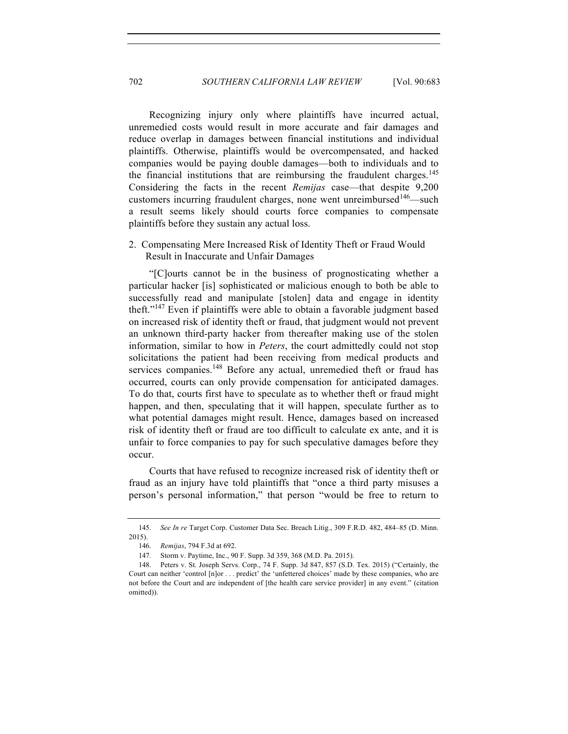Recognizing injury only where plaintiffs have incurred actual, unremedied costs would result in more accurate and fair damages and reduce overlap in damages between financial institutions and individual plaintiffs. Otherwise, plaintiffs would be overcompensated, and hacked companies would be paying double damages—both to individuals and to the financial institutions that are reimbursing the fraudulent charges.<sup>145</sup> Considering the facts in the recent *Remijas* case—that despite 9,200 customers incurring fraudulent charges, none went unreimbursed  $146$ —such a result seems likely should courts force companies to compensate plaintiffs before they sustain any actual loss.

# 2. Compensating Mere Increased Risk of Identity Theft or Fraud Would Result in Inaccurate and Unfair Damages

"[C]ourts cannot be in the business of prognosticating whether a particular hacker [is] sophisticated or malicious enough to both be able to successfully read and manipulate [stolen] data and engage in identity theft."<sup>147</sup> Even if plaintiffs were able to obtain a favorable judgment based on increased risk of identity theft or fraud, that judgment would not prevent an unknown third-party hacker from thereafter making use of the stolen information, similar to how in *Peters*, the court admittedly could not stop solicitations the patient had been receiving from medical products and services companies.<sup>148</sup> Before any actual, unremedied theft or fraud has occurred, courts can only provide compensation for anticipated damages. To do that, courts first have to speculate as to whether theft or fraud might happen, and then, speculating that it will happen, speculate further as to what potential damages might result. Hence, damages based on increased risk of identity theft or fraud are too difficult to calculate ex ante, and it is unfair to force companies to pay for such speculative damages before they occur.

Courts that have refused to recognize increased risk of identity theft or fraud as an injury have told plaintiffs that "once a third party misuses a person's personal information," that person "would be free to return to

<sup>145.</sup> *See In re* Target Corp. Customer Data Sec. Breach Litig., 309 F.R.D. 482, 484–85 (D. Minn. 2015).

<sup>146.</sup> *Remijas*, 794 F.3d at 692.

<sup>147.</sup> Storm v. Paytime, Inc., 90 F. Supp. 3d 359, 368 (M.D. Pa. 2015).

<sup>148.</sup> Peters v. St. Joseph Servs. Corp., 74 F. Supp. 3d 847, 857 (S.D. Tex. 2015) ("Certainly, the Court can neither 'control [n]or . . . predict' the 'unfettered choices' made by these companies, who are not before the Court and are independent of [the health care service provider] in any event." (citation omitted)).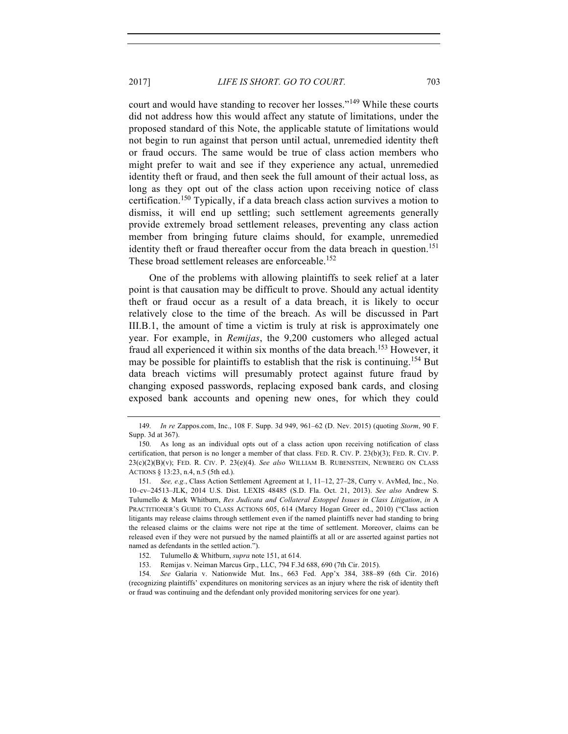2017] *LIFE IS SHORT. GO TO COURT.* 703

These broad settlement releases are enforceable.<sup>152</sup>

court and would have standing to recover her losses."<sup>149</sup> While these courts did not address how this would affect any statute of limitations, under the proposed standard of this Note, the applicable statute of limitations would not begin to run against that person until actual, unremedied identity theft or fraud occurs. The same would be true of class action members who might prefer to wait and see if they experience any actual, unremedied identity theft or fraud, and then seek the full amount of their actual loss, as long as they opt out of the class action upon receiving notice of class certification.<sup>150</sup> Typically, if a data breach class action survives a motion to dismiss, it will end up settling; such settlement agreements generally provide extremely broad settlement releases, preventing any class action member from bringing future claims should, for example, unremedied identity theft or fraud thereafter occur from the data breach in question.<sup>151</sup>

One of the problems with allowing plaintiffs to seek relief at a later point is that causation may be difficult to prove. Should any actual identity theft or fraud occur as a result of a data breach, it is likely to occur relatively close to the time of the breach. As will be discussed in Part III.B.1, the amount of time a victim is truly at risk is approximately one year. For example, in *Remijas*, the 9,200 customers who alleged actual fraud all experienced it within six months of the data breach.<sup>153</sup> However, it may be possible for plaintiffs to establish that the risk is continuing.<sup>154</sup> But data breach victims will presumably protect against future fraud by changing exposed passwords, replacing exposed bank cards, and closing exposed bank accounts and opening new ones, for which they could

<sup>149.</sup> *In re* Zappos.com, Inc., 108 F. Supp. 3d 949, 961–62 (D. Nev. 2015) (quoting *Storm*, 90 F. Supp. 3d at 367).

<sup>150.</sup> As long as an individual opts out of a class action upon receiving notification of class certification, that person is no longer a member of that class. FED. R. CIV. P. 23(b)(3); FED. R. CIV. P. 23(c)(2)(B)(v); FED. R. CIV. P. 23(e)(4). *See also* WILLIAM B. RUBENSTEIN, NEWBERG ON CLASS ACTIONS § 13:23, n.4, n.5 (5th ed.).

<sup>151.</sup> *See, e.g.*, Class Action Settlement Agreement at 1, 11–12, 27–28, Curry v. AvMed, Inc., No. 10–cv–24513–JLK, 2014 U.S. Dist. LEXIS 48485 (S.D. Fla. Oct. 21, 2013). *See also* Andrew S. Tulumello & Mark Whitburn, *Res Judicata and Collateral Estoppel Issues in Class Litigation*, *in* A PRACTITIONER'S GUIDE TO CLASS ACTIONS 605, 614 (Marcy Hogan Greer ed., 2010) ("Class action litigants may release claims through settlement even if the named plaintiffs never had standing to bring the released claims or the claims were not ripe at the time of settlement. Moreover, claims can be released even if they were not pursued by the named plaintiffs at all or are asserted against parties not named as defendants in the settled action.").

<sup>152.</sup> Tulumello & Whitburn, *supra* note 151, at 614.

<sup>153.</sup> Remijas v. Neiman Marcus Grp., LLC, 794 F.3d 688, 690 (7th Cir. 2015).

<sup>154.</sup> *See* Galaria v. Nationwide Mut. Ins., 663 Fed. App'x 384, 388–89 (6th Cir. 2016) (recognizing plaintiffs' expenditures on monitoring services as an injury where the risk of identity theft or fraud was continuing and the defendant only provided monitoring services for one year).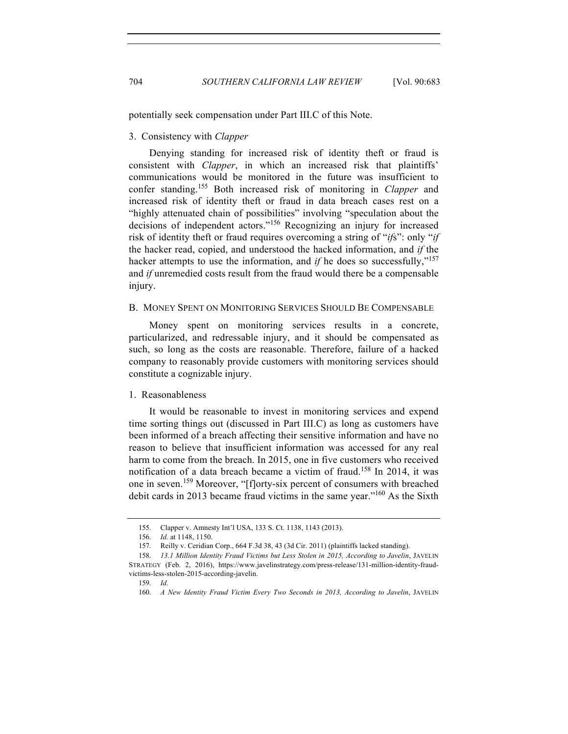potentially seek compensation under Part III.C of this Note.

## 3. Consistency with *Clapper*

Denying standing for increased risk of identity theft or fraud is consistent with *Clapper*, in which an increased risk that plaintiffs' communications would be monitored in the future was insufficient to confer standing.155 Both increased risk of monitoring in *Clapper* and increased risk of identity theft or fraud in data breach cases rest on a "highly attenuated chain of possibilities" involving "speculation about the decisions of independent actors."<sup>156</sup> Recognizing an injury for increased risk of identity theft or fraud requires overcoming a string of "*if*s": only "*if* the hacker read, copied, and understood the hacked information, and *if* the hacker attempts to use the information, and *if* he does so successfully,"<sup>157</sup> and *if* unremedied costs result from the fraud would there be a compensable injury.

## B. MONEY SPENT ON MONITORING SERVICES SHOULD BE COMPENSABLE

Money spent on monitoring services results in a concrete, particularized, and redressable injury, and it should be compensated as such, so long as the costs are reasonable. Therefore, failure of a hacked company to reasonably provide customers with monitoring services should constitute a cognizable injury.

# 1. Reasonableness

It would be reasonable to invest in monitoring services and expend time sorting things out (discussed in Part III.C) as long as customers have been informed of a breach affecting their sensitive information and have no reason to believe that insufficient information was accessed for any real harm to come from the breach. In 2015, one in five customers who received notification of a data breach became a victim of fraud.<sup>158</sup> In 2014, it was one in seven.<sup>159</sup> Moreover, "[f]orty-six percent of consumers with breached debit cards in 2013 became fraud victims in the same year."<sup>160</sup> As the Sixth

<sup>155.</sup> Clapper v. Amnesty Int'l USA, 133 S. Ct. 1138, 1143 (2013).

<sup>156.</sup> *Id.* at 1148, 1150.

<sup>157.</sup> Reilly v. Ceridian Corp., 664 F.3d 38, 43 (3d Cir. 2011) (plaintiffs lacked standing).

<sup>158.</sup> *13.1 Million Identity Fraud Victims but Less Stolen in 2015, According to Javelin*, JAVELIN STRATEGY (Feb. 2, 2016), https://www.javelinstrategy.com/press-release/131-million-identity-fraudvictims-less-stolen-2015-according-javelin.

<sup>159.</sup> *Id.*

<sup>160.</sup> *A New Identity Fraud Victim Every Two Seconds in 2013, According to Javelin*, JAVELIN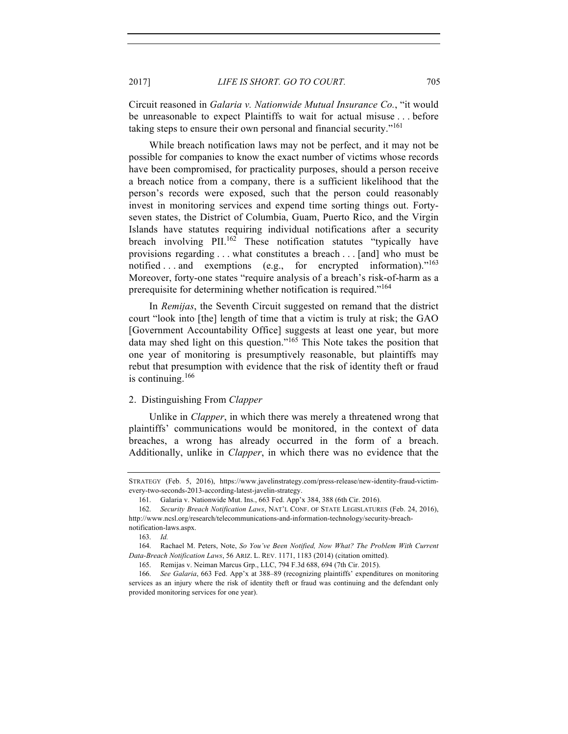Circuit reasoned in *Galaria v. Nationwide Mutual Insurance Co.*, "it would be unreasonable to expect Plaintiffs to wait for actual misuse . . . before taking steps to ensure their own personal and financial security."<sup>161</sup>

While breach notification laws may not be perfect, and it may not be possible for companies to know the exact number of victims whose records have been compromised, for practicality purposes, should a person receive a breach notice from a company, there is a sufficient likelihood that the person's records were exposed, such that the person could reasonably invest in monitoring services and expend time sorting things out. Fortyseven states, the District of Columbia, Guam, Puerto Rico, and the Virgin Islands have statutes requiring individual notifications after a security breach involving PII.<sup>162</sup> These notification statutes "typically have provisions regarding . . . what constitutes a breach . . . [and] who must be notified ... and exemptions (e.g., for encrypted information)."163 Moreover, forty-one states "require analysis of a breach's risk-of-harm as a prerequisite for determining whether notification is required."<sup>164</sup>

In *Remijas*, the Seventh Circuit suggested on remand that the district court "look into [the] length of time that a victim is truly at risk; the GAO [Government Accountability Office] suggests at least one year, but more data may shed light on this question."<sup>165</sup> This Note takes the position that one year of monitoring is presumptively reasonable, but plaintiffs may rebut that presumption with evidence that the risk of identity theft or fraud is continuing.<sup>166</sup>

# 2. Distinguishing From *Clapper*

Unlike in *Clapper*, in which there was merely a threatened wrong that plaintiffs' communications would be monitored, in the context of data breaches, a wrong has already occurred in the form of a breach. Additionally, unlike in *Clapper*, in which there was no evidence that the

STRATEGY (Feb. 5, 2016), https://www.javelinstrategy.com/press-release/new-identity-fraud-victimevery-two-seconds-2013-according-latest-javelin-strategy.

<sup>161.</sup> Galaria v. Nationwide Mut. Ins., 663 Fed. App'x 384, 388 (6th Cir. 2016).

<sup>162.</sup> *Security Breach Notification Laws*, NAT'L CONF. OF STATE LEGISLATURES (Feb. 24, 2016), http://www.ncsl.org/research/telecommunications-and-information-technology/security-breachnotification-laws.aspx.

<sup>163.</sup> *Id.*

<sup>164.</sup> Rachael M. Peters, Note, *So You've Been Notified, Now What? The Problem With Current Data-Breach Notification Laws*, 56 ARIZ. L. REV. 1171, 1183 (2014) (citation omitted).

<sup>165.</sup> Remijas v. Neiman Marcus Grp., LLC, 794 F.3d 688, 694 (7th Cir. 2015).

<sup>166.</sup> *See Galaria*, 663 Fed. App'x at 388–89 (recognizing plaintiffs' expenditures on monitoring services as an injury where the risk of identity theft or fraud was continuing and the defendant only provided monitoring services for one year).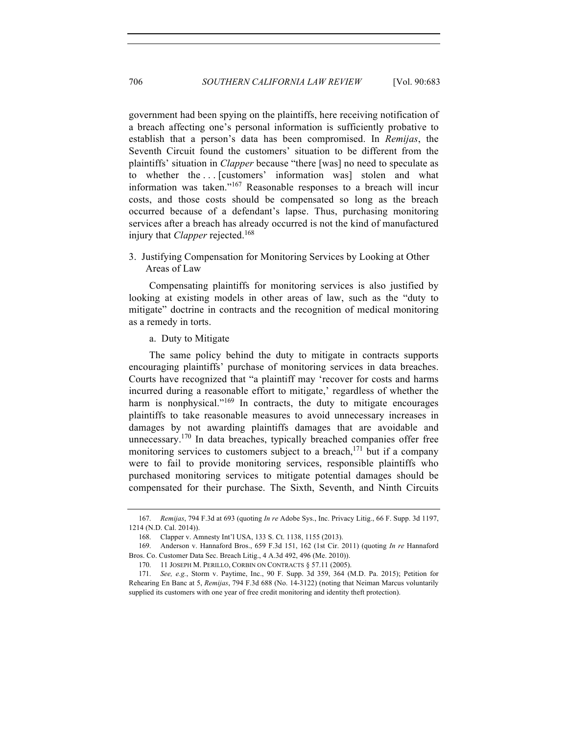government had been spying on the plaintiffs, here receiving notification of a breach affecting one's personal information is sufficiently probative to establish that a person's data has been compromised. In *Remijas*, the Seventh Circuit found the customers' situation to be different from the plaintiffs' situation in *Clapper* because "there [was] no need to speculate as to whether the ... [customers' information was] stolen and what information was taken."<sup>167</sup> Reasonable responses to a breach will incur costs, and those costs should be compensated so long as the breach occurred because of a defendant's lapse. Thus, purchasing monitoring services after a breach has already occurred is not the kind of manufactured injury that *Clapper* rejected.168

3. Justifying Compensation for Monitoring Services by Looking at Other Areas of Law

Compensating plaintiffs for monitoring services is also justified by looking at existing models in other areas of law, such as the "duty to mitigate" doctrine in contracts and the recognition of medical monitoring as a remedy in torts.

a. Duty to Mitigate

The same policy behind the duty to mitigate in contracts supports encouraging plaintiffs' purchase of monitoring services in data breaches. Courts have recognized that "a plaintiff may 'recover for costs and harms incurred during a reasonable effort to mitigate,' regardless of whether the harm is nonphysical."<sup>169</sup> In contracts, the duty to mitigate encourages plaintiffs to take reasonable measures to avoid unnecessary increases in damages by not awarding plaintiffs damages that are avoidable and unnecessary.<sup>170</sup> In data breaches, typically breached companies offer free monitoring services to customers subject to a breach,<sup>171</sup> but if a company were to fail to provide monitoring services, responsible plaintiffs who purchased monitoring services to mitigate potential damages should be compensated for their purchase. The Sixth, Seventh, and Ninth Circuits

<sup>167.</sup> *Remijas*, 794 F.3d at 693 (quoting *In re* Adobe Sys., Inc. Privacy Litig., 66 F. Supp. 3d 1197, 1214 (N.D. Cal. 2014)).

<sup>168.</sup> Clapper v. Amnesty Int'l USA, 133 S. Ct. 1138, 1155 (2013).

<sup>169.</sup> Anderson v. Hannaford Bros., 659 F.3d 151, 162 (1st Cir. 2011) (quoting *In re* Hannaford Bros. Co. Customer Data Sec. Breach Litig., 4 A.3d 492, 496 (Me. 2010)).

<sup>170.</sup> 11 JOSEPH M. PERILLO, CORBIN ON CONTRACTS § 57.11 (2005).

<sup>171.</sup> *See, e.g.*, Storm v. Paytime, Inc., 90 F. Supp. 3d 359, 364 (M.D. Pa. 2015); Petition for Rehearing En Banc at 5, *Remijas*, 794 F.3d 688 (No. 14-3122) (noting that Neiman Marcus voluntarily supplied its customers with one year of free credit monitoring and identity theft protection).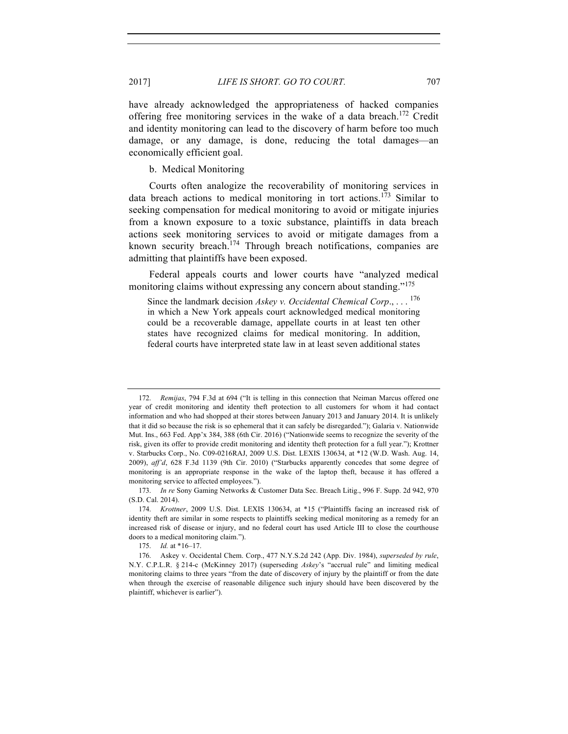have already acknowledged the appropriateness of hacked companies offering free monitoring services in the wake of a data breach.<sup>172</sup> Credit and identity monitoring can lead to the discovery of harm before too much damage, or any damage, is done, reducing the total damages—an economically efficient goal.

b. Medical Monitoring

Courts often analogize the recoverability of monitoring services in data breach actions to medical monitoring in tort actions. <sup>173</sup> Similar to seeking compensation for medical monitoring to avoid or mitigate injuries from a known exposure to a toxic substance, plaintiffs in data breach actions seek monitoring services to avoid or mitigate damages from a known security breach.<sup>174</sup> Through breach notifications, companies are admitting that plaintiffs have been exposed.

Federal appeals courts and lower courts have "analyzed medical monitoring claims without expressing any concern about standing."<sup>175</sup>

Since the landmark decision *Askey v. Occidental Chemical Corp*., . . . <sup>176</sup> in which a New York appeals court acknowledged medical monitoring could be a recoverable damage, appellate courts in at least ten other states have recognized claims for medical monitoring. In addition, federal courts have interpreted state law in at least seven additional states

<sup>172.</sup> *Remijas*, 794 F.3d at 694 ("It is telling in this connection that Neiman Marcus offered one year of credit monitoring and identity theft protection to all customers for whom it had contact information and who had shopped at their stores between January 2013 and January 2014. It is unlikely that it did so because the risk is so ephemeral that it can safely be disregarded."); Galaria v. Nationwide Mut. Ins., 663 Fed. App'x 384, 388 (6th Cir. 2016) ("Nationwide seems to recognize the severity of the risk, given its offer to provide credit monitoring and identity theft protection for a full year."); Krottner v. Starbucks Corp., No. C09-0216RAJ, 2009 U.S. Dist. LEXIS 130634, at \*12 (W.D. Wash. Aug. 14, 2009), *aff'd*, 628 F.3d 1139 (9th Cir. 2010) ("Starbucks apparently concedes that some degree of monitoring is an appropriate response in the wake of the laptop theft, because it has offered a monitoring service to affected employees.").

<sup>173.</sup> *In re* Sony Gaming Networks & Customer Data Sec. Breach Litig., 996 F. Supp. 2d 942, 970 (S.D. Cal. 2014).

<sup>174.</sup> *Krottner*, 2009 U.S. Dist. LEXIS 130634, at \*15 ("Plaintiffs facing an increased risk of identity theft are similar in some respects to plaintiffs seeking medical monitoring as a remedy for an increased risk of disease or injury, and no federal court has used Article III to close the courthouse doors to a medical monitoring claim.").

<sup>175.</sup> *Id.* at \*16–17.

<sup>176.</sup> Askey v. Occidental Chem. Corp., 477 N.Y.S.2d 242 (App. Div. 1984), *superseded by rule*, N.Y. C.P.L.R. § 214-c (McKinney 2017) (superseding *Askey*'s "accrual rule" and limiting medical monitoring claims to three years "from the date of discovery of injury by the plaintiff or from the date when through the exercise of reasonable diligence such injury should have been discovered by the plaintiff, whichever is earlier").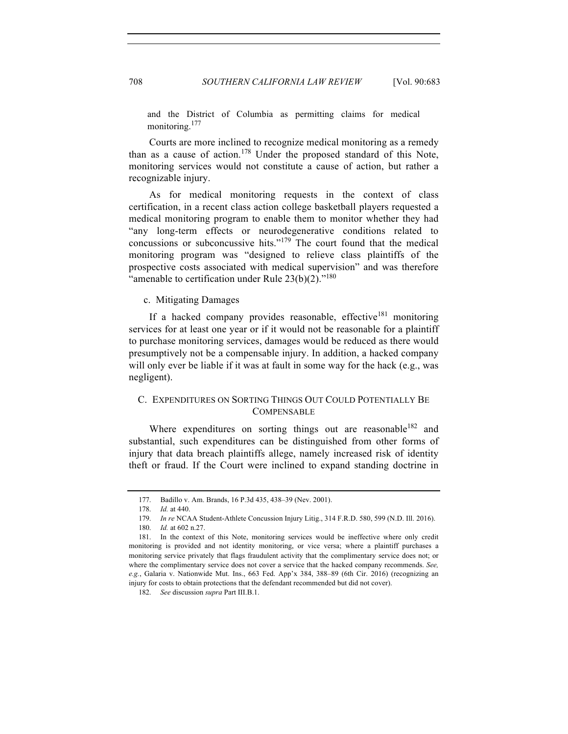and the District of Columbia as permitting claims for medical monitoring.<sup>177</sup>

Courts are more inclined to recognize medical monitoring as a remedy than as a cause of action.<sup>178</sup> Under the proposed standard of this Note, monitoring services would not constitute a cause of action, but rather a recognizable injury.

As for medical monitoring requests in the context of class certification, in a recent class action college basketball players requested a medical monitoring program to enable them to monitor whether they had "any long-term effects or neurodegenerative conditions related to concussions or subconcussive hits."<sup>179</sup> The court found that the medical monitoring program was "designed to relieve class plaintiffs of the prospective costs associated with medical supervision" and was therefore "amenable to certification under Rule  $23(b)(2)$ ."<sup>180</sup>

## c. Mitigating Damages

If a hacked company provides reasonable, effective<sup>181</sup> monitoring services for at least one year or if it would not be reasonable for a plaintiff to purchase monitoring services, damages would be reduced as there would presumptively not be a compensable injury. In addition, a hacked company will only ever be liable if it was at fault in some way for the hack (e.g., was negligent).

# C. EXPENDITURES ON SORTING THINGS OUT COULD POTENTIALLY BE **COMPENSABLE**

Where expenditures on sorting things out are reasonable<sup>182</sup> and substantial, such expenditures can be distinguished from other forms of injury that data breach plaintiffs allege, namely increased risk of identity theft or fraud. If the Court were inclined to expand standing doctrine in

<sup>177.</sup> Badillo v. Am. Brands, 16 P.3d 435, 438–39 (Nev. 2001).

<sup>178.</sup> *Id.* at 440.

<sup>179.</sup> *In re* NCAA Student-Athlete Concussion Injury Litig., 314 F.R.D. 580, 599 (N.D. Ill. 2016).

<sup>180.</sup> *Id.* at 602 n.27.

<sup>181.</sup> In the context of this Note, monitoring services would be ineffective where only credit monitoring is provided and not identity monitoring, or vice versa; where a plaintiff purchases a monitoring service privately that flags fraudulent activity that the complimentary service does not; or where the complimentary service does not cover a service that the hacked company recommends. *See, e.g.*, Galaria v. Nationwide Mut. Ins., 663 Fed. App'x 384, 388–89 (6th Cir. 2016) (recognizing an injury for costs to obtain protections that the defendant recommended but did not cover).

<sup>182.</sup> *See* discussion *supra* Part III.B.1.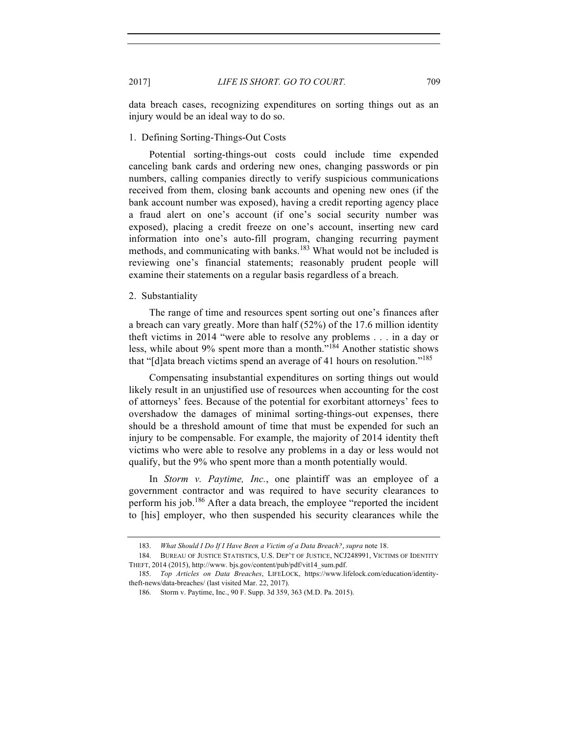data breach cases, recognizing expenditures on sorting things out as an injury would be an ideal way to do so.

# 1. Defining Sorting-Things-Out Costs

Potential sorting-things-out costs could include time expended canceling bank cards and ordering new ones, changing passwords or pin numbers, calling companies directly to verify suspicious communications received from them, closing bank accounts and opening new ones (if the bank account number was exposed), having a credit reporting agency place a fraud alert on one's account (if one's social security number was exposed), placing a credit freeze on one's account, inserting new card information into one's auto-fill program, changing recurring payment methods, and communicating with banks.<sup>183</sup> What would not be included is reviewing one's financial statements; reasonably prudent people will examine their statements on a regular basis regardless of a breach.

# 2. Substantiality

The range of time and resources spent sorting out one's finances after a breach can vary greatly. More than half (52%) of the 17.6 million identity theft victims in 2014 "were able to resolve any problems . . . in a day or less, while about 9% spent more than a month."<sup>184</sup> Another statistic shows that "[d]ata breach victims spend an average of 41 hours on resolution."<sup>185</sup>

Compensating insubstantial expenditures on sorting things out would likely result in an unjustified use of resources when accounting for the cost of attorneys' fees. Because of the potential for exorbitant attorneys' fees to overshadow the damages of minimal sorting-things-out expenses, there should be a threshold amount of time that must be expended for such an injury to be compensable. For example, the majority of 2014 identity theft victims who were able to resolve any problems in a day or less would not qualify, but the 9% who spent more than a month potentially would.

In *Storm v. Paytime, Inc.*, one plaintiff was an employee of a government contractor and was required to have security clearances to perform his job.<sup>186</sup> After a data breach, the employee "reported the incident to [his] employer, who then suspended his security clearances while the

<sup>183.</sup> *What Should I Do If I Have Been a Victim of a Data Breach?*, *supra* note 18.

<sup>184.</sup> BUREAU OF JUSTICE STATISTICS, U.S. DEP'T OF JUSTICE, NCJ248991, VICTIMS OF IDENTITY THEFT, 2014 (2015), http://www. bjs.gov/content/pub/pdf/vit14\_sum.pdf.

<sup>185.</sup> *Top Articles on Data Breaches*, LIFELOCK, https://www.lifelock.com/education/identitytheft-news/data-breaches/ (last visited Mar. 22, 2017).

<sup>186.</sup> Storm v. Paytime, Inc., 90 F. Supp. 3d 359, 363 (M.D. Pa. 2015).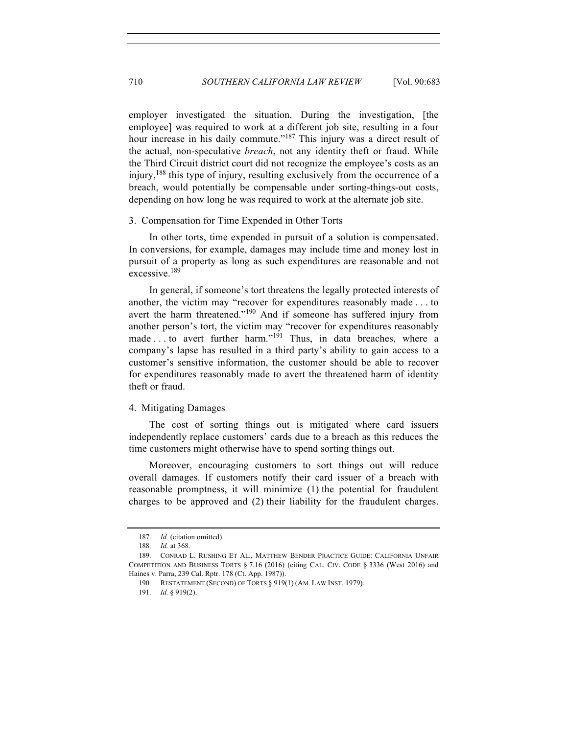employer investigated the situation. During the investigation, [the employee] was required to work at a different job site, resulting in a four hour increase in his daily commute."<sup>187</sup> This injury was a direct result of the actual, non-speculative *breach*, not any identity theft or fraud. While the Third Circuit district court did not recognize the employee's costs as an injury,<sup>188</sup> this type of injury, resulting exclusively from the occurrence of a breach, would potentially be compensable under sorting-things-out costs, depending on how long he was required to work at the alternate job site.

## 3. Compensation for Time Expended in Other Torts

In other torts, time expended in pursuit of a solution is compensated. In conversions, for example, damages may include time and money lost in pursuit of a property as long as such expenditures are reasonable and not excessive.<sup>189</sup>

In general, if someone's tort threatens the legally protected interests of another, the victim may "recover for expenditures reasonably made . . . to avert the harm threatened."<sup>190</sup> And if someone has suffered injury from another person's tort, the victim may "recover for expenditures reasonably made . . . to avert further harm."<sup>191</sup> Thus, in data breaches, where a company's lapse has resulted in a third party's ability to gain access to a customer's sensitive information, the customer should be able to recover for expenditures reasonably made to avert the threatened harm of identity theft or fraud.

# 4. Mitigating Damages

The cost of sorting things out is mitigated where card issuers independently replace customers' cards due to a breach as this reduces the time customers might otherwise have to spend sorting things out.

Moreover, encouraging customers to sort things out will reduce overall damages. If customers notify their card issuer of a breach with reasonable promptness, it will minimize (1) the potential for fraudulent charges to be approved and (2) their liability for the fraudulent charges.

<sup>187.</sup> *Id.* (citation omitted).

<sup>188.</sup> *Id.* at 368.

<sup>189.</sup> CONRAD L. RUSHING ET AL., MATTHEW BENDER PRACTICE GUIDE: CALIFORNIA UNFAIR COMPETITION AND BUSINESS TORTS § 7.16 (2016) (citing CAL. CIV. CODE § 3336 (West 2016) and Haines v. Parra, 239 Cal. Rptr. 178 (Ct. App. 1987)).

<sup>190.</sup> RESTATEMENT (SECOND) OF TORTS § 919(1) (AM. LAW INST. 1979).

<sup>191.</sup> *Id.* § 919(2).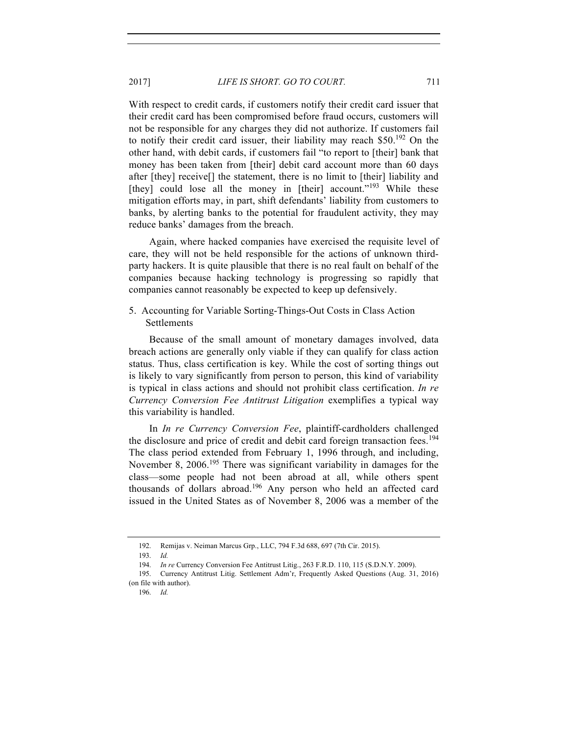2017] *LIFE IS SHORT. GO TO COURT.* 711

With respect to credit cards, if customers notify their credit card issuer that their credit card has been compromised before fraud occurs, customers will not be responsible for any charges they did not authorize. If customers fail to notify their credit card issuer, their liability may reach \$50.<sup>192</sup> On the other hand, with debit cards, if customers fail "to report to [their] bank that money has been taken from [their] debit card account more than 60 days after [they] receive[] the statement, there is no limit to [their] liability and [they] could lose all the money in [their] account."<sup>193</sup> While these mitigation efforts may, in part, shift defendants' liability from customers to banks, by alerting banks to the potential for fraudulent activity, they may reduce banks' damages from the breach.

Again, where hacked companies have exercised the requisite level of care, they will not be held responsible for the actions of unknown thirdparty hackers. It is quite plausible that there is no real fault on behalf of the companies because hacking technology is progressing so rapidly that companies cannot reasonably be expected to keep up defensively.

5. Accounting for Variable Sorting-Things-Out Costs in Class Action Settlements

Because of the small amount of monetary damages involved, data breach actions are generally only viable if they can qualify for class action status. Thus, class certification is key. While the cost of sorting things out is likely to vary significantly from person to person, this kind of variability is typical in class actions and should not prohibit class certification. *In re Currency Conversion Fee Antitrust Litigation* exemplifies a typical way this variability is handled.

In *In re Currency Conversion Fee*, plaintiff-cardholders challenged the disclosure and price of credit and debit card foreign transaction fees.<sup>194</sup> The class period extended from February 1, 1996 through, and including, November 8, 2006.<sup>195</sup> There was significant variability in damages for the class—some people had not been abroad at all, while others spent thousands of dollars abroad.<sup>196</sup> Any person who held an affected card issued in the United States as of November 8, 2006 was a member of the

<sup>192.</sup> Remijas v. Neiman Marcus Grp., LLC, 794 F.3d 688, 697 (7th Cir. 2015).

<sup>193.</sup> *Id.*

<sup>194.</sup> *In re* Currency Conversion Fee Antitrust Litig., 263 F.R.D. 110, 115 (S.D.N.Y. 2009).

<sup>195.</sup> Currency Antitrust Litig. Settlement Adm'r, Frequently Asked Questions (Aug. 31, 2016) (on file with author).

<sup>196.</sup> *Id.*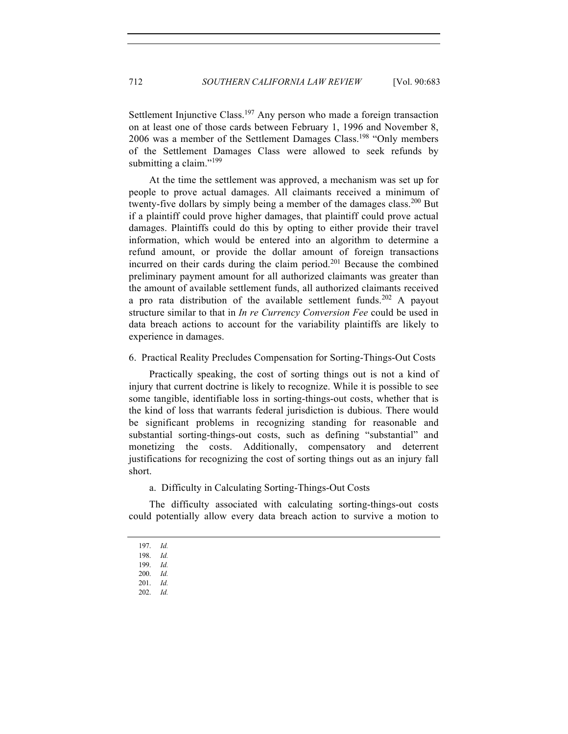Settlement Injunctive Class.<sup>197</sup> Any person who made a foreign transaction on at least one of those cards between February 1, 1996 and November 8, 2006 was a member of the Settlement Damages Class.<sup>198</sup> "Only members" of the Settlement Damages Class were allowed to seek refunds by submitting a claim."<sup>199</sup>

At the time the settlement was approved, a mechanism was set up for people to prove actual damages. All claimants received a minimum of twenty-five dollars by simply being a member of the damages class.<sup>200</sup> But if a plaintiff could prove higher damages, that plaintiff could prove actual damages. Plaintiffs could do this by opting to either provide their travel information, which would be entered into an algorithm to determine a refund amount, or provide the dollar amount of foreign transactions incurred on their cards during the claim period.<sup>201</sup> Because the combined preliminary payment amount for all authorized claimants was greater than the amount of available settlement funds, all authorized claimants received a pro rata distribution of the available settlement funds.<sup>202</sup> A payout structure similar to that in *In re Currency Conversion Fee* could be used in data breach actions to account for the variability plaintiffs are likely to experience in damages.

6. Practical Reality Precludes Compensation for Sorting-Things-Out Costs

Practically speaking, the cost of sorting things out is not a kind of injury that current doctrine is likely to recognize. While it is possible to see some tangible, identifiable loss in sorting-things-out costs, whether that is the kind of loss that warrants federal jurisdiction is dubious. There would be significant problems in recognizing standing for reasonable and substantial sorting-things-out costs, such as defining "substantial" and monetizing the costs. Additionally, compensatory and deterrent justifications for recognizing the cost of sorting things out as an injury fall short.

a. Difficulty in Calculating Sorting-Things-Out Costs

The difficulty associated with calculating sorting-things-out costs could potentially allow every data breach action to survive a motion to

<sup>197.</sup> *Id.*

<sup>198.</sup> *Id.*

<sup>199.</sup> *Id.*

<sup>200.</sup> *Id.* 201. *Id.*

<sup>202.</sup> *Id.*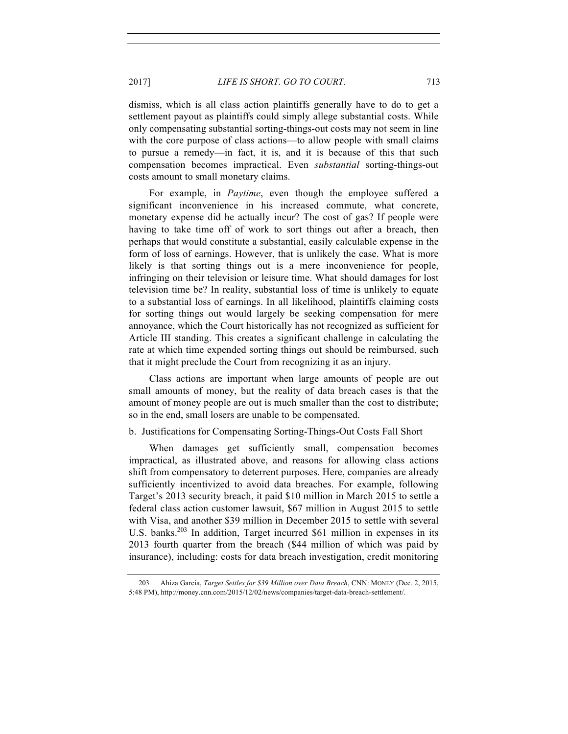dismiss, which is all class action plaintiffs generally have to do to get a settlement payout as plaintiffs could simply allege substantial costs. While only compensating substantial sorting-things-out costs may not seem in line with the core purpose of class actions—to allow people with small claims to pursue a remedy—in fact, it is, and it is because of this that such compensation becomes impractical. Even *substantial* sorting-things-out costs amount to small monetary claims.

For example, in *Paytime*, even though the employee suffered a significant inconvenience in his increased commute, what concrete, monetary expense did he actually incur? The cost of gas? If people were having to take time off of work to sort things out after a breach, then perhaps that would constitute a substantial, easily calculable expense in the form of loss of earnings. However, that is unlikely the case. What is more likely is that sorting things out is a mere inconvenience for people, infringing on their television or leisure time. What should damages for lost television time be? In reality, substantial loss of time is unlikely to equate to a substantial loss of earnings. In all likelihood, plaintiffs claiming costs for sorting things out would largely be seeking compensation for mere annoyance, which the Court historically has not recognized as sufficient for Article III standing. This creates a significant challenge in calculating the rate at which time expended sorting things out should be reimbursed, such that it might preclude the Court from recognizing it as an injury.

Class actions are important when large amounts of people are out small amounts of money, but the reality of data breach cases is that the amount of money people are out is much smaller than the cost to distribute; so in the end, small losers are unable to be compensated.

## b. Justifications for Compensating Sorting-Things-Out Costs Fall Short

When damages get sufficiently small, compensation becomes impractical, as illustrated above, and reasons for allowing class actions shift from compensatory to deterrent purposes. Here, companies are already sufficiently incentivized to avoid data breaches. For example, following Target's 2013 security breach, it paid \$10 million in March 2015 to settle a federal class action customer lawsuit, \$67 million in August 2015 to settle with Visa, and another \$39 million in December 2015 to settle with several U.S. banks.<sup>203</sup> In addition, Target incurred \$61 million in expenses in its 2013 fourth quarter from the breach (\$44 million of which was paid by insurance), including: costs for data breach investigation, credit monitoring

<sup>203.</sup> Ahiza Garcia, *Target Settles for \$39 Million over Data Breach*, CNN: MONEY (Dec. 2, 2015, 5:48 PM), http://money.cnn.com/2015/12/02/news/companies/target-data-breach-settlement/.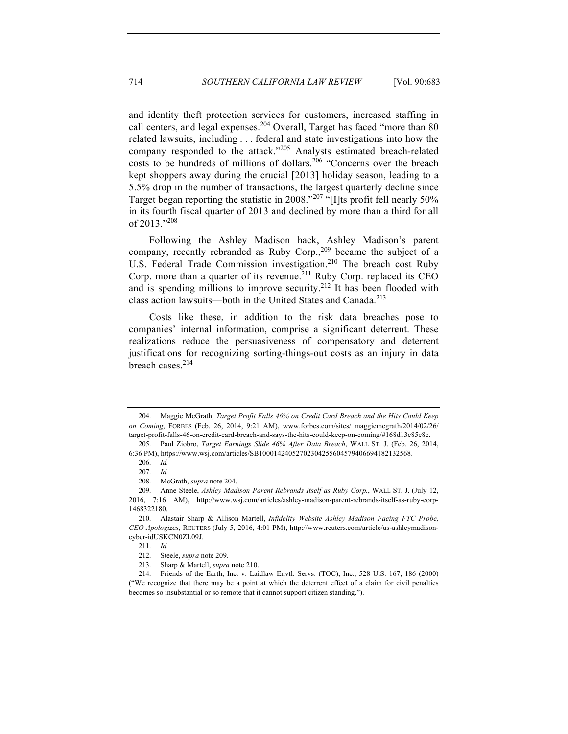and identity theft protection services for customers, increased staffing in call centers, and legal expenses.<sup>204</sup> Overall, Target has faced "more than 80 related lawsuits, including . . . federal and state investigations into how the company responded to the attack."<sup>205</sup> Analysts estimated breach-related costs to be hundreds of millions of dollars.<sup>206</sup> "Concerns over the breach kept shoppers away during the crucial [2013] holiday season, leading to a 5.5% drop in the number of transactions, the largest quarterly decline since Target began reporting the statistic in 2008."<sup>207</sup> "[I]ts profit fell nearly 50% in its fourth fiscal quarter of 2013 and declined by more than a third for all of 2013."<sup>208</sup>

Following the Ashley Madison hack, Ashley Madison's parent company, recently rebranded as Ruby Corp.,<sup>209</sup> became the subject of a U.S. Federal Trade Commission investigation.<sup>210</sup> The breach cost Ruby Corp. more than a quarter of its revenue.<sup>211</sup> Ruby Corp. replaced its CEO and is spending millions to improve security.<sup>212</sup> It has been flooded with class action lawsuits—both in the United States and Canada.<sup>213</sup>

Costs like these, in addition to the risk data breaches pose to companies' internal information, comprise a significant deterrent. These realizations reduce the persuasiveness of compensatory and deterrent justifications for recognizing sorting-things-out costs as an injury in data breach cases.<sup>214</sup>

<sup>204.</sup> Maggie McGrath, *Target Profit Falls 46% on Credit Card Breach and the Hits Could Keep on Coming*, FORBES (Feb. 26, 2014, 9:21 AM), www.forbes.com/sites/ maggiemcgrath/2014/02/26/ target-profit-falls-46-on-credit-card-breach-and-says-the-hits-could-keep-on-coming/#168d13c85e8c.

<sup>205.</sup> Paul Ziobro, *Target Earnings Slide 46% After Data Breach*, WALL ST. J. (Feb. 26, 2014, 6:36 PM), https://www.wsj.com/articles/SB10001424052702304255604579406694182132568.

<sup>206.</sup> *Id.*

<sup>207.</sup> *Id.*

<sup>208.</sup> McGrath, *supra* note 204.

<sup>209.</sup> Anne Steele, *Ashley Madison Parent Rebrands Itself as Ruby Corp.*, WALL ST. J. (July 12, 2016, 7:16 AM), http://www.wsj.com/articles/ashley-madison-parent-rebrands-itself-as-ruby-corp-1468322180.

<sup>210.</sup> Alastair Sharp & Allison Martell, *Infidelity Website Ashley Madison Facing FTC Probe, CEO Apologizes*, REUTERS (July 5, 2016, 4:01 PM), http://www.reuters.com/article/us-ashleymadisoncyber-idUSKCN0ZL09J.

<sup>211.</sup> *Id.*

<sup>212.</sup> Steele, *supra* note 209.

<sup>213.</sup> Sharp & Martell, *supra* note 210.

<sup>214.</sup> Friends of the Earth, Inc. v. Laidlaw Envtl. Servs. (TOC), Inc., 528 U.S. 167, 186 (2000) ("We recognize that there may be a point at which the deterrent effect of a claim for civil penalties becomes so insubstantial or so remote that it cannot support citizen standing.").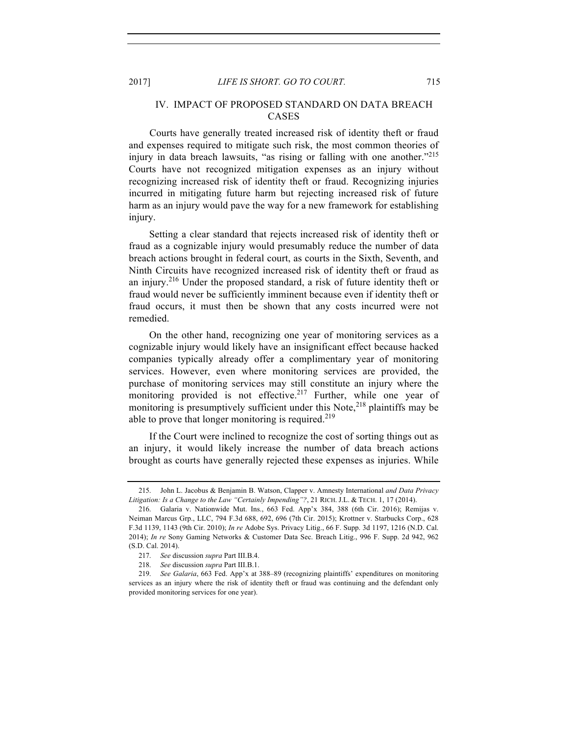# IV. IMPACT OF PROPOSED STANDARD ON DATA BREACH CASES

Courts have generally treated increased risk of identity theft or fraud and expenses required to mitigate such risk, the most common theories of injury in data breach lawsuits, "as rising or falling with one another."<sup>215</sup> Courts have not recognized mitigation expenses as an injury without recognizing increased risk of identity theft or fraud. Recognizing injuries incurred in mitigating future harm but rejecting increased risk of future harm as an injury would pave the way for a new framework for establishing injury.

Setting a clear standard that rejects increased risk of identity theft or fraud as a cognizable injury would presumably reduce the number of data breach actions brought in federal court, as courts in the Sixth, Seventh, and Ninth Circuits have recognized increased risk of identity theft or fraud as an injury.<sup>216</sup> Under the proposed standard, a risk of future identity theft or fraud would never be sufficiently imminent because even if identity theft or fraud occurs, it must then be shown that any costs incurred were not remedied.

On the other hand, recognizing one year of monitoring services as a cognizable injury would likely have an insignificant effect because hacked companies typically already offer a complimentary year of monitoring services. However, even where monitoring services are provided, the purchase of monitoring services may still constitute an injury where the monitoring provided is not effective.<sup>217</sup> Further, while one year of monitoring is presumptively sufficient under this Note,<sup>218</sup> plaintiffs may be able to prove that longer monitoring is required.<sup>219</sup>

If the Court were inclined to recognize the cost of sorting things out as an injury, it would likely increase the number of data breach actions brought as courts have generally rejected these expenses as injuries. While

<sup>215.</sup> John L. Jacobus & Benjamin B. Watson, Clapper v. Amnesty International *and Data Privacy Litigation: Is a Change to the Law "Certainly Impending"?*, 21 RICH. J.L. & TECH. 1, 17 (2014).

<sup>216.</sup> Galaria v. Nationwide Mut. Ins., 663 Fed. App'x 384, 388 (6th Cir. 2016); Remijas v. Neiman Marcus Grp., LLC, 794 F.3d 688, 692, 696 (7th Cir. 2015); Krottner v. Starbucks Corp., 628 F.3d 1139, 1143 (9th Cir. 2010); *In re* Adobe Sys. Privacy Litig., 66 F. Supp. 3d 1197, 1216 (N.D. Cal. 2014); *In re* Sony Gaming Networks & Customer Data Sec. Breach Litig., 996 F. Supp. 2d 942, 962 (S.D. Cal. 2014).

<sup>217.</sup> *See* discussion *supra* Part III.B.4.

<sup>218.</sup> *See* discussion *supra* Part III.B.1.

<sup>219.</sup> *See Galaria*, 663 Fed. App'x at 388–89 (recognizing plaintiffs' expenditures on monitoring services as an injury where the risk of identity theft or fraud was continuing and the defendant only provided monitoring services for one year).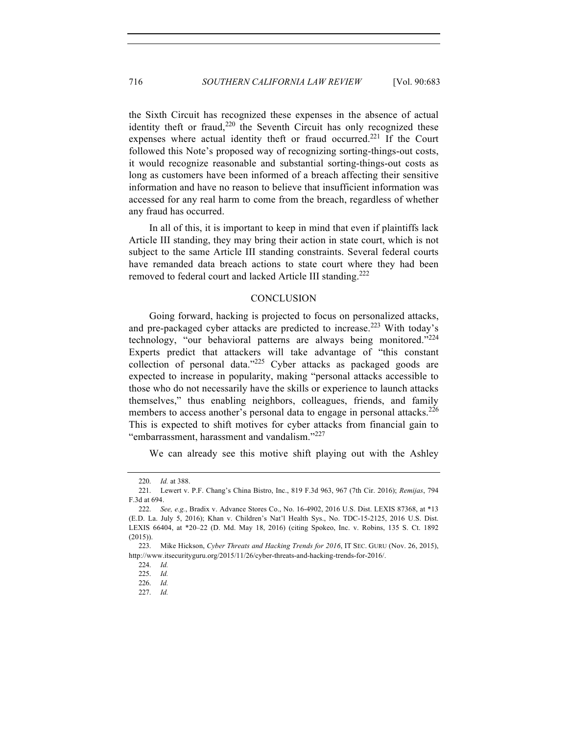the Sixth Circuit has recognized these expenses in the absence of actual identity theft or fraud,<sup>220</sup> the Seventh Circuit has only recognized these expenses where actual identity theft or fraud occurred.<sup>221</sup> If the Court followed this Note's proposed way of recognizing sorting-things-out costs, it would recognize reasonable and substantial sorting-things-out costs as long as customers have been informed of a breach affecting their sensitive information and have no reason to believe that insufficient information was accessed for any real harm to come from the breach, regardless of whether any fraud has occurred.

In all of this, it is important to keep in mind that even if plaintiffs lack Article III standing, they may bring their action in state court, which is not subject to the same Article III standing constraints. Several federal courts have remanded data breach actions to state court where they had been removed to federal court and lacked Article III standing.<sup>222</sup>

## **CONCLUSION**

Going forward, hacking is projected to focus on personalized attacks, and pre-packaged cyber attacks are predicted to increase.<sup>223</sup> With today's technology, "our behavioral patterns are always being monitored."<sup>224</sup> Experts predict that attackers will take advantage of "this constant collection of personal data. $225$  Cyber attacks as packaged goods are expected to increase in popularity, making "personal attacks accessible to those who do not necessarily have the skills or experience to launch attacks themselves," thus enabling neighbors, colleagues, friends, and family members to access another's personal data to engage in personal attacks.<sup>226</sup> This is expected to shift motives for cyber attacks from financial gain to "embarrassment, harassment and vandalism."<sup>227</sup>

We can already see this motive shift playing out with the Ashley

<sup>220.</sup> *Id.* at 388.

<sup>221.</sup> Lewert v. P.F. Chang's China Bistro, Inc., 819 F.3d 963, 967 (7th Cir. 2016); *Remijas*, 794 F.3d at 694.

<sup>222.</sup> *See, e.g.*, Bradix v. Advance Stores Co., No. 16-4902, 2016 U.S. Dist. LEXIS 87368, at \*13 (E.D. La. July 5, 2016); Khan v. Children's Nat'l Health Sys., No. TDC-15-2125, 2016 U.S. Dist. LEXIS 66404, at \*20–22 (D. Md. May 18, 2016) (citing Spokeo, Inc. v. Robins, 135 S. Ct. 1892 (2015)).

<sup>223.</sup> Mike Hickson, *Cyber Threats and Hacking Trends for 2016*, IT SEC. GURU (Nov. 26, 2015), http://www.itsecurityguru.org/2015/11/26/cyber-threats-and-hacking-trends-for-2016/.

<sup>224.</sup> *Id.*

<sup>225.</sup> *Id.*

<sup>226.</sup> *Id.*

<sup>227.</sup> *Id.*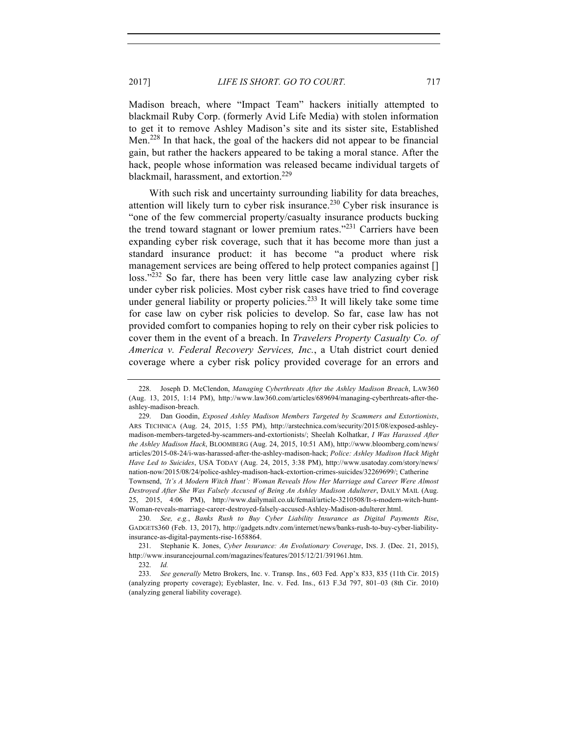2017] *LIFE IS SHORT. GO TO COURT.* 717

Madison breach, where "Impact Team" hackers initially attempted to blackmail Ruby Corp. (formerly Avid Life Media) with stolen information to get it to remove Ashley Madison's site and its sister site, Established Men.<sup>228</sup> In that hack, the goal of the hackers did not appear to be financial gain, but rather the hackers appeared to be taking a moral stance. After the hack, people whose information was released became individual targets of blackmail, harassment, and extortion.<sup>229</sup>

With such risk and uncertainty surrounding liability for data breaches, attention will likely turn to cyber risk insurance.<sup>230</sup> Cyber risk insurance is "one of the few commercial property/casualty insurance products bucking the trend toward stagnant or lower premium rates."<sup>231</sup> Carriers have been expanding cyber risk coverage, such that it has become more than just a standard insurance product: it has become "a product where risk management services are being offered to help protect companies against [] loss."<sup>232</sup> So far, there has been very little case law analyzing cyber risk under cyber risk policies. Most cyber risk cases have tried to find coverage under general liability or property policies.<sup>233</sup> It will likely take some time for case law on cyber risk policies to develop. So far, case law has not provided comfort to companies hoping to rely on their cyber risk policies to cover them in the event of a breach. In *Travelers Property Casualty Co. of America v. Federal Recovery Services, Inc.*, a Utah district court denied coverage where a cyber risk policy provided coverage for an errors and

<sup>228.</sup> Joseph D. McClendon, *Managing Cyberthreats After the Ashley Madison Breach*, LAW360 (Aug. 13, 2015, 1:14 PM), http://www.law360.com/articles/689694/managing-cyberthreats-after-theashley-madison-breach.

<sup>229.</sup> Dan Goodin, *Exposed Ashley Madison Members Targeted by Scammers and Extortionists*, ARS TECHNICA (Aug. 24, 2015, 1:55 PM), http://arstechnica.com/security/2015/08/exposed-ashleymadison-members-targeted-by-scammers-and-extortionists/; Sheelah Kolhatkar, *I Was Harassed After the Ashley Madison Hack*, BLOOMBERG (Aug. 24, 2015, 10:51 AM), http://www.bloomberg.com/news/ articles/2015-08-24/i-was-harassed-after-the-ashley-madison-hack; *Police: Ashley Madison Hack Might Have Led to Suicides*, USA TODAY (Aug. 24, 2015, 3:38 PM), http://www.usatoday.com/story/news/ nation-now/2015/08/24/police-ashley-madison-hack-extortion-crimes-suicides/32269699/; Catherine Townsend, *'It's A Modern Witch Hunt': Woman Reveals How Her Marriage and Career Were Almost* 

*Destroyed After She Was Falsely Accused of Being An Ashley Madison Adulterer*, DAILY MAIL (Aug. 25, 2015, 4:06 PM), http://www.dailymail.co.uk/femail/article-3210508/It-s-modern-witch-hunt-Woman-reveals-marriage-career-destroyed-falsely-accused-Ashley-Madison-adulterer.html.

<sup>230.</sup> *See, e.g.*, *Banks Rush to Buy Cyber Liability Insurance as Digital Payments Rise*, GADGETS360 (Feb. 13, 2017), http://gadgets.ndtv.com/internet/news/banks-rush-to-buy-cyber-liabilityinsurance-as-digital-payments-rise-1658864.

<sup>231.</sup> Stephanie K. Jones, *Cyber Insurance: An Evolutionary Coverage*, INS. J. (Dec. 21, 2015), http://www.insurancejournal.com/magazines/features/2015/12/21/391961.htm.

<sup>232.</sup> *Id.*

<sup>233.</sup> *See generally* Metro Brokers, Inc. v. Transp. Ins., 603 Fed. App'x 833, 835 (11th Cir. 2015) (analyzing property coverage); Eyeblaster, Inc. v. Fed. Ins., 613 F.3d 797, 801–03 (8th Cir. 2010) (analyzing general liability coverage).